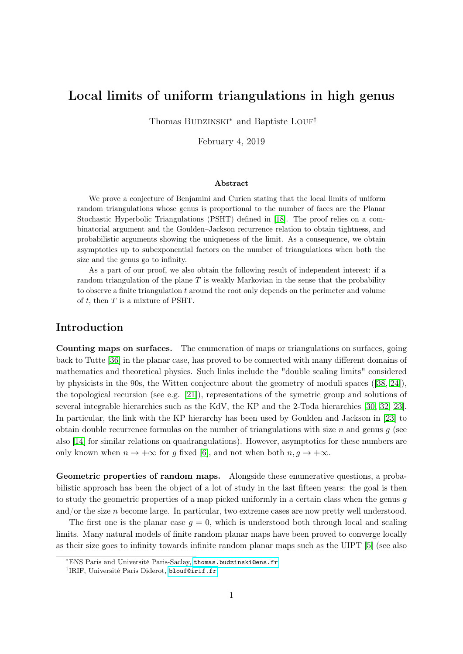# <span id="page-0-0"></span>Local limits of uniform triangulations in high genus

Thomas BUDZINSKI<sup>∗</sup> and Baptiste LOUF<sup>†</sup>

February 4, 2019

#### Abstract

We prove a conjecture of Benjamini and Curien stating that the local limits of uniform random triangulations whose genus is proportional to the number of faces are the Planar Stochastic Hyperbolic Triangulations (PSHT) defined in [\[18\]](#page-34-0). The proof relies on a combinatorial argument and the Goulden–Jackson recurrence relation to obtain tightness, and probabilistic arguments showing the uniqueness of the limit. As a consequence, we obtain asymptotics up to subexponential factors on the number of triangulations when both the size and the genus go to infinity.

As a part of our proof, we also obtain the following result of independent interest: if a random triangulation of the plane  $T$  is weakly Markovian in the sense that the probability to observe a finite triangulation t around the root only depends on the perimeter and volume of  $t$ , then  $T$  is a mixture of PSHT.

# Introduction

Counting maps on surfaces. The enumeration of maps or triangulations on surfaces, going back to Tutte [\[36\]](#page-35-0) in the planar case, has proved to be connected with many different domains of mathematics and theoretical physics. Such links include the "double scaling limits" considered by physicists in the 90s, the Witten conjecture about the geometry of moduli spaces ([\[38,](#page-35-1) [24\]](#page-35-2)), the topological recursion (see e.g. [\[21\]](#page-34-1)), representations of the symetric group and solutions of several integrable hierarchies such as the KdV, the KP and the 2-Toda hierarchies [\[30,](#page-35-3) [32,](#page-35-4) [23\]](#page-35-5). In particular, the link with the KP hierarchy has been used by Goulden and Jackson in [\[23\]](#page-35-5) to obtain double recurrence formulas on the number of triangulations with size  $n$  and genus  $q$  (see also [\[14\]](#page-34-2) for similar relations on quadrangulations). However, asymptotics for these numbers are only known when  $n \to +\infty$  for g fixed [\[6\]](#page-34-3), and not when both  $n, g \to +\infty$ .

Geometric properties of random maps. Alongside these enumerative questions, a probabilistic approach has been the object of a lot of study in the last fifteen years: the goal is then to study the geometric properties of a map picked uniformly in a certain class when the genus g and/or the size  $n$  become large. In particular, two extreme cases are now pretty well understood.

The first one is the planar case  $g = 0$ , which is understood both through local and scaling limits. Many natural models of finite random planar maps have been proved to converge locally as their size goes to infinity towards infinite random planar maps such as the UIPT [\[5\]](#page-34-4) (see also

<sup>∗</sup>ENS Paris and Université Paris-Saclay, <thomas.budzinski@ens.fr>

<sup>†</sup> IRIF, Université Paris Diderot, <blouf@irif.fr>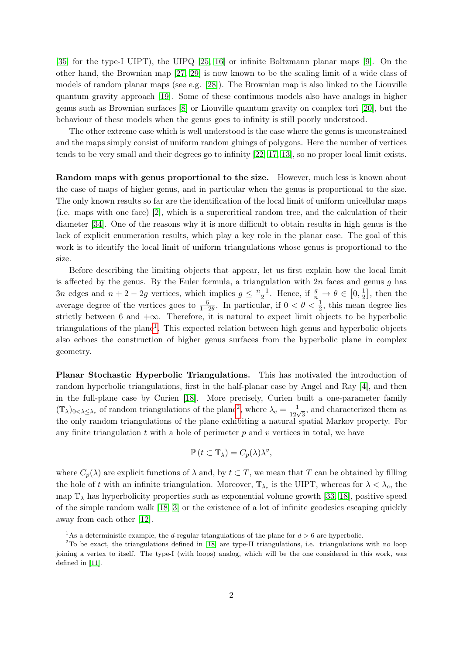[\[35\]](#page-35-6) for the type-I UIPT), the UIPQ [\[25,](#page-35-7) [16\]](#page-34-5) or infinite Boltzmann planar maps [\[9\]](#page-34-6). On the other hand, the Brownian map [\[27,](#page-35-8) [29\]](#page-35-9) is now known to be the scaling limit of a wide class of models of random planar maps (see e.g. [\[28\]](#page-35-10)). The Brownian map is also linked to the Liouville quantum gravity approach [\[19\]](#page-34-7). Some of these continuous models also have analogs in higher genus such as Brownian surfaces [\[8\]](#page-34-8) or Liouville quantum gravity on complex tori [\[20\]](#page-34-9), but the behaviour of these models when the genus goes to infinity is still poorly understood.

The other extreme case which is well understood is the case where the genus is unconstrained and the maps simply consist of uniform random gluings of polygons. Here the number of vertices tends to be very small and their degrees go to infinity [\[22,](#page-35-11) [17,](#page-34-10) [13\]](#page-34-11), so no proper local limit exists.

Random maps with genus proportional to the size. However, much less is known about the case of maps of higher genus, and in particular when the genus is proportional to the size. The only known results so far are the identification of the local limit of uniform unicellular maps (i.e. maps with one face) [\[2\]](#page-33-0), which is a supercritical random tree, and the calculation of their diameter [\[34\]](#page-35-12). One of the reasons why it is more difficult to obtain results in high genus is the lack of explicit enumeration results, which play a key role in the planar case. The goal of this work is to identify the local limit of uniform triangulations whose genus is proportional to the size.

Before describing the limiting objects that appear, let us first explain how the local limit is affected by the genus. By the Euler formula, a triangulation with  $2n$  faces and genus g has 3n edges and  $n + 2 - 2g$  vertices, which implies  $g \leq \frac{n+1}{2}$  $\frac{+1}{2}$ . Hence, if  $\frac{g}{n} \to \theta \in [0, \frac{1}{2}]$  $\frac{1}{2}$ , then the average degree of the vertices goes to  $\frac{6}{1-2\theta}$ . In particular, if  $0 < \theta < \frac{1}{2}$ , this mean degree lies strictly between 6 and  $+\infty$ . Therefore, it is natural to expect limit objects to be hyperbolic triangulations of the plane<sup>[1](#page-1-0)</sup>. This expected relation between high genus and hyperbolic objects also echoes the construction of higher genus surfaces from the hyperbolic plane in complex geometry.

Planar Stochastic Hyperbolic Triangulations. This has motivated the introduction of random hyperbolic triangulations, first in the half-planar case by Angel and Ray [\[4\]](#page-34-12), and then in the full-plane case by Curien [\[18\]](#page-34-0). More precisely, Curien built a one-parameter family  $(\mathbb{T}_{\lambda})_{0<\lambda\leq\lambda_c}$  of random triangulations of the plane<sup>[2](#page-1-1)</sup>, where  $\lambda_c=\frac{1}{12\sqrt{3}}$ , and characterized them as the only random triangulations of the plane exhibiting a natural spatial Markov property. For any finite triangulation  $t$  with a hole of perimeter  $p$  and  $v$  vertices in total, we have

$$
\mathbb{P}\left(t\subset\mathbb{T}_{\lambda}\right)=C_{p}(\lambda)\lambda^{v},
$$

where  $C_p(\lambda)$  are explicit functions of  $\lambda$  and, by  $t \subset T$ , we mean that T can be obtained by filling the hole of t with an infinite triangulation. Moreover,  $\mathbb{T}_{\lambda_c}$  is the UIPT, whereas for  $\lambda < \lambda_c$ , the map  $\mathbb{T}_{\lambda}$  has hyperbolicity properties such as exponential volume growth [\[33,](#page-35-13) [18\]](#page-34-0), positive speed of the simple random walk [\[18,](#page-34-0) [3\]](#page-33-1) or the existence of a lot of infinite geodesics escaping quickly away from each other [\[12\]](#page-34-13).

<span id="page-1-1"></span><span id="page-1-0"></span><sup>&</sup>lt;sup>1</sup>As a deterministic example, the *d*-regular triangulations of the plane for  $d > 6$  are hyperbolic.

<sup>&</sup>lt;sup>2</sup>To be exact, the triangulations defined in [\[18\]](#page-34-0) are type-II triangulations, i.e. triangulations with no loop joining a vertex to itself. The type-I (with loops) analog, which will be the one considered in this work, was defined in [\[11\]](#page-34-14).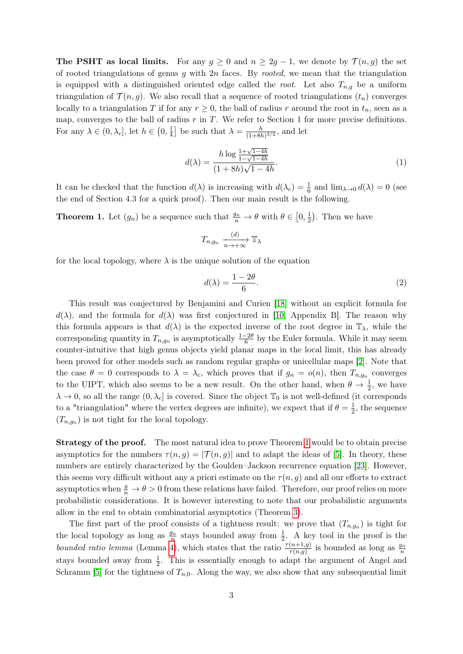**The PSHT as local limits.** For any  $g \ge 0$  and  $n \ge 2g - 1$ , we denote by  $\mathcal{T}(n, g)$  the set of rooted triangulations of genus  $g$  with  $2n$  faces. By *rooted*, we mean that the triangulation is equipped with a distinguished oriented edge called the root. Let also  $T_{n,q}$  be a uniform triangulation of  $\mathcal{T}(n, g)$ . We also recall that a sequence of rooted triangulations  $(t_n)$  converges locally to a triangulation T if for any  $r \geq 0$ , the ball of radius r around the root in  $t_n$ , seen as a map, converges to the ball of radius  $r$  in  $T$ . We refer to Section 1 for more precise definitions. For any  $\lambda \in (0, \lambda_c]$ , let  $h \in (0, \frac{1}{4})$  $\frac{1}{4}$  be such that  $\lambda = \frac{h}{(1+8h)}$  $\frac{h}{(1+8h)^{3/2}}$ , and let

$$
d(\lambda) = \frac{h \log \frac{1 + \sqrt{1 - 4h}}{1 - \sqrt{1 - 4h}}}{(1 + 8h)\sqrt{1 - 4h}}.\tag{1}
$$

It can be checked that the function  $d(\lambda)$  is increasing with  $d(\lambda_c) = \frac{1}{6}$  and  $\lim_{\lambda \to 0} d(\lambda) = 0$  (see the end of Section 4.3 for a quick proof). Then our main result is the following.

<span id="page-2-0"></span>**Theorem 1.** Let  $(g_n)$  be a sequence such that  $\frac{g_n}{n} \to \theta$  with  $\theta \in \left[0, \frac{1}{2}\right]$  $(\frac{1}{2})$ . Then we have

$$
T_{n,g_n} \xrightarrow[n \to +\infty]{(d)} \mathbb{T}_{\lambda}
$$

for the local topology, where  $\lambda$  is the unique solution of the equation

<span id="page-2-1"></span>
$$
d(\lambda) = \frac{1 - 2\theta}{6}.\tag{2}
$$

This result was conjectured by Benjamini and Curien [\[18\]](#page-34-0) without an explicit formula for  $d(\lambda)$ , and the formula for  $d(\lambda)$  was first conjectured in [\[10,](#page-34-15) Appendix B]. The reason why this formula appears is that  $d(\lambda)$  is the expected inverse of the root degree in  $\mathbb{T}_{\lambda}$ , while the corresponding quantity in  $T_{n,g_n}$  is asymptotically  $\frac{1-2\theta}{6}$  by the Euler formula. While it may seem counter-intuitive that high genus objects yield planar maps in the local limit, this has already been proved for other models such as random regular graphs or unicellular maps [\[2\]](#page-33-0). Note that the case  $\theta = 0$  corresponds to  $\lambda = \lambda_c$ , which proves that if  $g_n = o(n)$ , then  $T_{n,g_n}$  converges to the UIPT, which also seems to be a new result. On the other hand, when  $\theta \to \frac{1}{2}$ , we have  $\lambda \to 0$ , so all the range  $(0, \lambda_c]$  is covered. Since the object  $\mathbb{T}_0$  is not well-defined (it corresponds to a "triangulation" where the vertex degrees are infinite), we expect that if  $\theta = \frac{1}{2}$  $\frac{1}{2}$ , the sequence  $(T_{n,g_n})$  is not tight for the local topology.

Strategy of the proof. The most natural idea to prove Theorem [1](#page-2-0) would be to obtain precise asymptotics for the numbers  $\tau(n, q) = |\mathcal{T}(n, q)|$  and to adapt the ideas of [\[5\]](#page-34-4). In theory, these numbers are entirely characterized by the Goulden–Jackson recurrence equation [\[23\]](#page-35-5). However, this seems very difficult without any a priori estimate on the  $\tau(n, g)$  and all our efforts to extract asymptotics when  $\frac{g}{n} \to \theta > 0$  from these relations have failed. Therefore, our proof relies on more probabilistic considerations. It is however interesting to note that our probabilistic arguments allow in the end to obtain combinatorial asymptotics (Theorem [3\)](#page-3-0).

The first part of the proof consists of a tightness result: we prove that  $(T_{n,g_n})$  is tight for the local topology as long as  $\frac{g_n}{n}$  stays bounded away from  $\frac{1}{2}$ . A key tool in the proof is the bounded ratio lemma (Lemma [4\)](#page-10-0), which states that the ratio  $\frac{\tau(n+1,g)}{\tau(n,g)}$  is bounded as long as  $\frac{g_n}{n}$ stays bounded away from  $\frac{1}{2}$ . This is essentially enough to adapt the argument of Angel and Schramm [\[5\]](#page-34-4) for the tightness of  $T_{n,0}$ . Along the way, we also show that any subsequential limit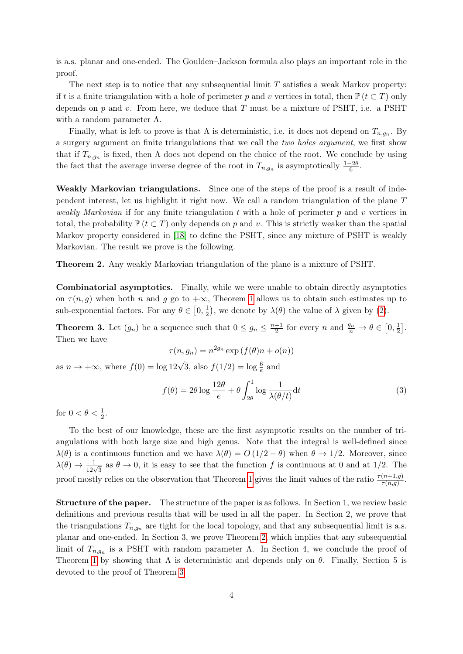is a.s. planar and one-ended. The Goulden–Jackson formula also plays an important role in the proof.

The next step is to notice that any subsequential limit  $T$  satisfies a weak Markov property: if t is a finite triangulation with a hole of perimeter p and v vertices in total, then  $\mathbb{P}(t \subset T)$  only depends on  $p$  and  $v$ . From here, we deduce that T must be a mixture of PSHT, i.e. a PSHT with a random parameter  $\Lambda$ .

Finally, what is left to prove is that  $\Lambda$  is deterministic, i.e. it does not depend on  $T_{n,g_n}$ . By a surgery argument on finite triangulations that we call the two holes argument, we first show that if  $T_{n,g_n}$  is fixed, then  $\Lambda$  does not depend on the choice of the root. We conclude by using the fact that the average inverse degree of the root in  $T_{n,g_n}$  is asymptotically  $\frac{1-2\theta}{6}$ .

Weakly Markovian triangulations. Since one of the steps of the proof is a result of independent interest, let us highlight it right now. We call a random triangulation of the plane T weakly Markovian if for any finite triangulation t with a hole of perimeter  $p$  and v vertices in total, the probability  $\mathbb{P}(t \subset T)$  only depends on p and v. This is strictly weaker than the spatial Markov property considered in [\[18\]](#page-34-0) to define the PSHT, since any mixture of PSHT is weakly Markovian. The result we prove is the following.

<span id="page-3-1"></span>Theorem 2. Any weakly Markovian triangulation of the plane is a mixture of PSHT.

Combinatorial asymptotics. Finally, while we were unable to obtain directly asymptotics on  $\tau(n, g)$  when both n and g go to  $+\infty$ , Theorem [1](#page-2-0) allows us to obtain such estimates up to sub-exponential factors. For any  $\theta \in [0, \frac{1}{2}]$  $(\frac{1}{2})$ , we denote by  $\lambda(\theta)$  the value of  $\lambda$  given by [\(2\)](#page-2-1).

<span id="page-3-0"></span>**Theorem 3.** Let  $(g_n)$  be a sequence such that  $0 \leq g_n \leq \frac{n+1}{2}$  $\frac{+1}{2}$  for every *n* and  $\frac{g_n}{n} \to \theta \in [0, \frac{1}{2}]$  $\frac{1}{2}$ . Then we have

$$
\tau(n, g_n) = n^{2g_n} \exp(f(\theta)n + o(n))
$$

as  $n \to +\infty$ , where  $f(0) = \log 12\sqrt{3}$ , also  $f(1/2) = \log \frac{6}{e}$  and

$$
f(\theta) = 2\theta \log \frac{12\theta}{e} + \theta \int_{2\theta}^{1} \log \frac{1}{\lambda(\theta/t)} dt
$$
 (3)

for  $0 < \theta < \frac{1}{2}$ .

To the best of our knowledge, these are the first asymptotic results on the number of triangulations with both large size and high genus. Note that the integral is well-defined since  $\lambda(\theta)$  is a continuous function and we have  $\lambda(\theta) = O(1/2 - \theta)$  when  $\theta \to 1/2$ . Moreover, since  $\lambda(\theta) \to \frac{1}{12\sqrt{3}}$  as  $\theta \to 0$ , it is easy to see that the function f is continuous at 0 and at 1/2. The proof mostly relies on the observation that Theorem [1](#page-2-0) gives the limit values of the ratio  $\frac{\tau(n+1,g)}{\tau(n,g)}$ .

Structure of the paper. The structure of the paper is as follows. In Section 1, we review basic definitions and previous results that will be used in all the paper. In Section 2, we prove that the triangulations  $T_{n,q_n}$  are tight for the local topology, and that any subsequential limit is a.s. planar and one-ended. In Section 3, we prove Theorem [2,](#page-3-1) which implies that any subsequential limit of  $T_{n,g_n}$  is a PSHT with random parameter  $\Lambda$ . In Section 4, we conclude the proof of Theorem [1](#page-2-0) by showing that  $\Lambda$  is deterministic and depends only on  $\theta$ . Finally, Section 5 is devoted to the proof of Theorem [3.](#page-3-0)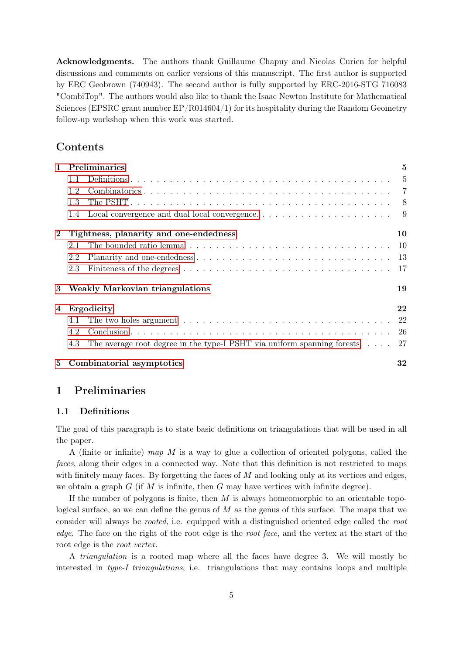Acknowledgments. The authors thank Guillaume Chapuy and Nicolas Curien for helpful discussions and comments on earlier versions of this manuscript. The first author is supported by ERC Geobrown (740943). The second author is fully supported by ERC-2016-STG 716083 "CombiTop". The authors would also like to thank the Isaac Newton Institute for Mathematical Sciences (EPSRC grant number EP/R014604/1) for its hospitality during the Random Geometry follow-up workshop when this work was started.

# Contents

| $\mathbf{1}$   | Preliminaries                                                                              | 5              |
|----------------|--------------------------------------------------------------------------------------------|----------------|
|                | 1.1                                                                                        | $\overline{5}$ |
|                | 1.2                                                                                        | $\overline{7}$ |
|                | 1.3                                                                                        | - 8            |
|                | 1.4                                                                                        |                |
| $\bf{2}$       | Tightness, planarity and one-endedness                                                     | 10             |
|                | 2.1                                                                                        |                |
|                | 2.2                                                                                        |                |
|                | 2.3                                                                                        |                |
| 3              | <b>Weakly Markovian triangulations</b>                                                     | 19             |
| $\overline{4}$ | Ergodicity                                                                                 | 22             |
|                | 4.1                                                                                        | 22             |
|                | 4.2                                                                                        |                |
|                | The average root degree in the type-I PSHT via uniform spanning forests $\ldots$ 27<br>4.3 |                |
| 5              | Combinatorial asymptotics                                                                  | $\bf{32}$      |

# <span id="page-4-0"></span>1 Preliminaries

### <span id="page-4-1"></span>1.1 Definitions

The goal of this paragraph is to state basic definitions on triangulations that will be used in all the paper.

A (finite or infinite) map M is a way to glue a collection of oriented polygons, called the faces, along their edges in a connected way. Note that this definition is not restricted to maps with finitely many faces. By forgetting the faces of  $M$  and looking only at its vertices and edges, we obtain a graph  $G$  (if M is infinite, then G may have vertices with infinite degree).

If the number of polygons is finite, then  $M$  is always homeomorphic to an orientable topological surface, so we can define the genus of  $M$  as the genus of this surface. The maps that we consider will always be *rooted*, i.e. equipped with a distinguished oriented edge called the root edge. The face on the right of the root edge is the root face, and the vertex at the start of the root edge is the root vertex.

A triangulation is a rooted map where all the faces have degree 3. We will mostly be interested in type-I triangulations, i.e. triangulations that may contains loops and multiple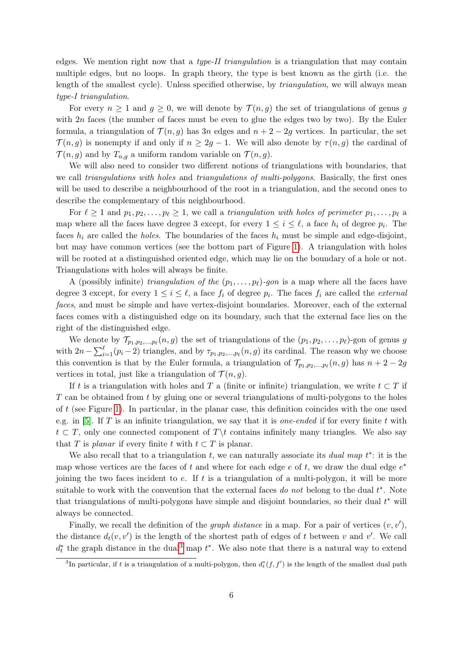edges. We mention right now that a type-II triangulation is a triangulation that may contain multiple edges, but no loops. In graph theory, the type is best known as the girth (i.e. the length of the smallest cycle). Unless specified otherwise, by triangulation, we will always mean type-I triangulation.

For every  $n \geq 1$  and  $g \geq 0$ , we will denote by  $\mathcal{T}(n, g)$  the set of triangulations of genus g with  $2n$  faces (the number of faces must be even to glue the edges two by two). By the Euler formula, a triangulation of  $\mathcal{T}(n, g)$  has 3n edges and  $n + 2 - 2g$  vertices. In particular, the set  $\mathcal{T}(n, g)$  is nonempty if and only if  $n \geq 2g - 1$ . We will also denote by  $\tau(n, g)$  the cardinal of  $\mathcal{T}(n, g)$  and by  $T_{n,g}$  a uniform random variable on  $\mathcal{T}(n, g)$ .

We will also need to consider two different notions of triangulations with boundaries, that we call *triangulations with holes* and *triangulations of multi-polygons*. Basically, the first ones will be used to describe a neighbourhood of the root in a triangulation, and the second ones to describe the complementary of this neighbourhood.

For  $\ell \geq 1$  and  $p_1, p_2, \ldots, p_\ell \geq 1$ , we call a triangulation with holes of perimeter  $p_1, \ldots, p_\ell$  a map where all the faces have degree 3 except, for every  $1 \leq i \leq \ell$ , a face  $h_i$  of degree  $p_i$ . The faces  $h_i$  are called the *holes*. The boundaries of the faces  $h_i$  must be simple and edge-disjoint, but may have common vertices (see the bottom part of Figure [1\)](#page-6-1). A triangulation with holes will be rooted at a distinguished oriented edge, which may lie on the boundary of a hole or not. Triangulations with holes will always be finite.

A (possibly infinite) triangulation of the  $(p_1, \ldots, p_\ell)$ -gon is a map where all the faces have degree 3 except, for every  $1 \leq i \leq \ell$ , a face  $f_i$  of degree  $p_i$ . The faces  $f_i$  are called the *external* faces, and must be simple and have vertex-disjoint boundaries. Moreover, each of the external faces comes with a distinguished edge on its boundary, such that the external face lies on the right of the distinguished edge.

We denote by  $\mathcal{T}_{p_1, p_2, ..., p_\ell}(n, g)$  the set of triangulations of the  $(p_1, p_2, ..., p_\ell)$ -gon of genus g with  $2n - \sum_{i=1}^{\ell} (p_i - 2)$  triangles, and by  $\tau_{p_1, p_2, ..., p_{\ell}}(n, g)$  its cardinal. The reason why we choose this convention is that by the Euler formula, a triangulation of  $\mathcal{T}_{p_1, p_2,...,p_\ell}(n, g)$  has  $n + 2 - 2g$ vertices in total, just like a triangulation of  $\mathcal{T}(n, g)$ .

If t is a triangulation with holes and T a (finite or infinite) triangulation, we write  $t \subset T$  if  $T$  can be obtained from t by gluing one or several triangulations of multi-polygons to the holes of t (see Figure [1\)](#page-6-1). In particular, in the planar case, this definition coincides with the one used e.g. in [\[5\]](#page-34-4). If T is an infinite triangulation, we say that it is *one-ended* if for every finite t with  $t \text{ }\subset T$ , only one connected component of  $T\backslash t$  contains infinitely many triangles. We also say that T is planar if every finite t with  $t \subset T$  is planar.

We also recall that to a triangulation  $t$ , we can naturally associate its *dual map*  $t^*$ : it is the map whose vertices are the faces of t and where for each edge  $e$  of t, we draw the dual edge  $e^*$ joining the two faces incident to  $e$ . If  $t$  is a triangulation of a multi-polygon, it will be more suitable to work with the convention that the external faces do not belong to the dual  $t^*$ . Note that triangulations of multi-polygons have simple and disjoint boundaries, so their dual  $t^*$  will always be connected.

Finally, we recall the definition of the *graph distance* in a map. For a pair of vertices  $(v, v')$ , the distance  $d_t(v, v')$  is the length of the shortest path of edges of t between v and v'. We call  $d_t^*$  the graph distance in the dual<sup>[3](#page-5-0)</sup> map  $t^*$ . We also note that there is a natural way to extend

<span id="page-5-0"></span><sup>&</sup>lt;sup>3</sup>In particular, if t is a triangulation of a multi-polygon, then  $d_t^*(f, f')$  is the length of the smallest dual path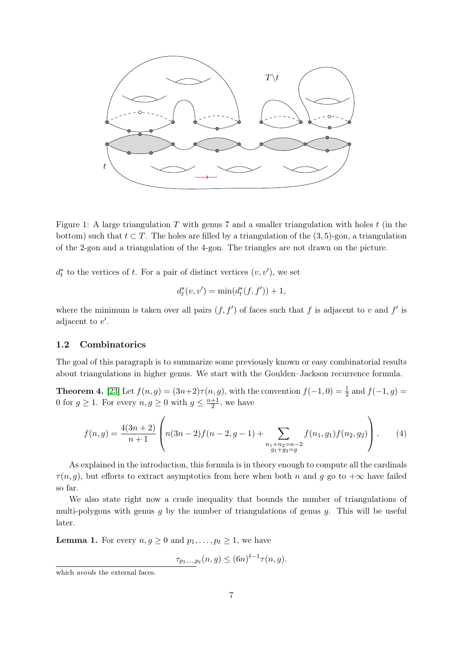

<span id="page-6-1"></span>Figure 1: A large triangulation  $T$  with genus 7 and a smaller triangulation with holes  $t$  (in the bottom) such that  $t \subset T$ . The holes are filled by a triangulation of the (3, 5)-gon, a triangulation of the 2-gon and a triangulation of the 4-gon. The triangles are not drawn on the picture.

 $d_t^*$  to the vertices of t. For a pair of distinct vertices  $(v, v')$ , we set

$$
d_t^*(v, v') = \min(d_t^*(f, f')) + 1,
$$

where the minimum is taken over all pairs  $(f, f')$  of faces such that f is adjacent to v and f' is adjacent to  $v'$ .

#### <span id="page-6-0"></span>1.2 Combinatorics

The goal of this paragraph is to summarize some previously known or easy combinatorial results about triangulations in higher genus. We start with the Goulden–Jackson recurrence formula.

**Theorem 4.** [\[23\]](#page-35-5) Let  $f(n, g) = (3n+2)\tau(n, g)$ , with the convention  $f(-1, 0) = \frac{1}{2}$  and  $f(-1, g) =$ 0 for  $g \ge 1$ . For every  $n, g \ge 0$  with  $g \le \frac{n+1}{2}$  $\frac{+1}{2}$ , we have

<span id="page-6-3"></span>
$$
f(n,g) = \frac{4(3n+2)}{n+1} \left( n(3n-2)f(n-2,g-1) + \sum_{\substack{n_1+n_2=n-2\\g_1+g_2=g}} f(n_1,g_1)f(n_2,g_2) \right). \tag{4}
$$

As explained in the introduction, this formula is in theory enough to compute all the cardinals  $\tau(n, g)$ , but efforts to extract asymptotics from here when both n and g go to  $+\infty$  have failed so far.

We also state right now a crude inequality that bounds the number of triangulations of multi-polygons with genus  $q$  by the number of triangulations of genus  $q$ . This will be useful later.

<span id="page-6-2"></span>**Lemma 1.** For every  $n, g \geq 0$  and  $p_1, \ldots, p_\ell \geq 1$ , we have

 $\tau_{p_1,...,p_{\ell}}(n,g) \leq (6n)^{\ell-1} \tau(n,g).$ 

which *avoids* the external faces.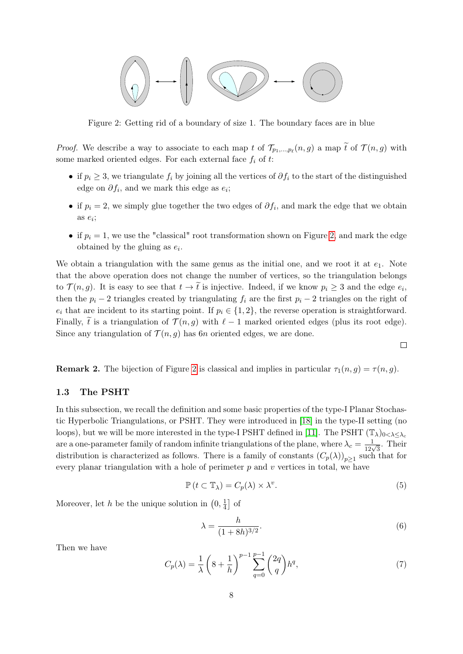

<span id="page-7-1"></span>Figure 2: Getting rid of a boundary of size 1. The boundary faces are in blue

*Proof.* We describe a way to associate to each map t of  $\mathcal{T}_{p_1,\dots,p_\ell}(n, g)$  a map t of  $\mathcal{T}(n, g)$  with some marked oriented edges. For each external face  $f_i$  of t:

- if  $p_i \geq 3$ , we triangulate  $f_i$  by joining all the vertices of  $\partial f_i$  to the start of the distinguished edge on  $\partial f_i$ , and we mark this edge as  $e_i$ ;
- if  $p_i = 2$ , we simply glue together the two edges of  $\partial f_i$ , and mark the edge that we obtain as  $e_i$ ;
- if  $p_i = 1$ , we use the "classical" root transformation shown on Figure [2,](#page-7-1) and mark the edge obtained by the gluing as  $e_i$ .

We obtain a triangulation with the same genus as the initial one, and we root it at  $e_1$ . Note that the above operation does not change the number of vertices, so the triangulation belongs to  $\mathcal{T}(n, g)$ . It is easy to see that  $t \to t$  is injective. Indeed, if we know  $p_i \geq 3$  and the edge  $e_i$ , then the  $p_i - 2$  triangles created by triangulating  $f_i$  are the first  $p_i - 2$  triangles on the right of  $e_i$  that are incident to its starting point. If  $p_i \in \{1, 2\}$ , the reverse operation is straightforward. Finally,  $\tilde{t}$  is a triangulation of  $\mathcal{T}(n, g)$  with  $\ell - 1$  marked oriented edges (plus its root edge). Since any triangulation of  $\mathcal{T}(n, g)$  has 6n oriented edges, we are done.

<span id="page-7-5"></span>**Remark [2](#page-7-1).** The bijection of Figure 2 is classical and implies in particular  $\tau_1(n, g) = \tau(n, g)$ .

#### <span id="page-7-0"></span>1.3 The PSHT

In this subsection, we recall the definition and some basic properties of the type-I Planar Stochastic Hyperbolic Triangulations, or PSHT. They were introduced in [\[18\]](#page-34-0) in the type-II setting (no loops), but we will be more interested in the type-I PSHT defined in [\[11\]](#page-34-14). The PSHT  $(\mathbb{T}_{\lambda})_{0<\lambda\leq\lambda_{c}}$ are a one-parameter family of random infinite triangulations of the plane, where  $\lambda_c = \frac{1}{12\sqrt{3}}$ . Their distribution is characterized as follows. There is a family of constants  $(C_p(\lambda))_{p\geq 1}$  such that for every planar triangulation with a hole of perimeter  $p$  and  $v$  vertices in total, we have

<span id="page-7-2"></span>
$$
\mathbb{P}\left(t \subset \mathbb{T}_{\lambda}\right) = C_{p}(\lambda) \times \lambda^{v}.\tag{5}
$$

 $\Box$ 

Moreover, let h be the unique solution in  $(0, \frac{1}{4})$  $\frac{1}{4}$  of

<span id="page-7-3"></span>
$$
\lambda = \frac{h}{(1+8h)^{3/2}}.\tag{6}
$$

Then we have

<span id="page-7-4"></span>
$$
C_p(\lambda) = \frac{1}{\lambda} \left( 8 + \frac{1}{h} \right)^{p-1} \sum_{q=0}^{p-1} {2q \choose q} h^q,
$$
 (7)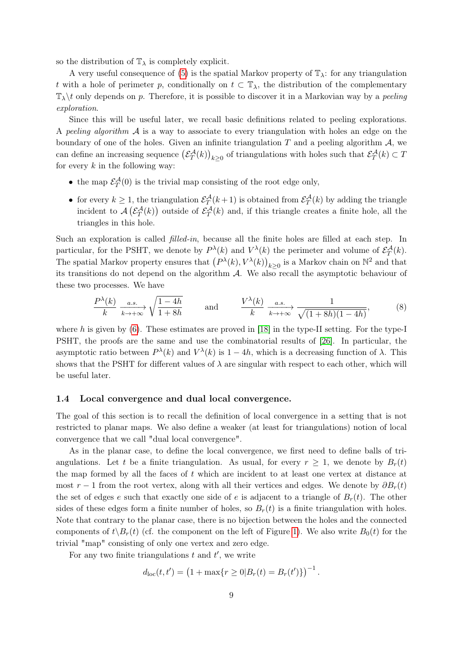so the distribution of  $\mathbb{T}_{\lambda}$  is completely explicit.

A very useful consequence of [\(5\)](#page-7-2) is the spatial Markov property of  $\mathbb{T}_{\lambda}$ : for any triangulation t with a hole of perimeter p, conditionally on  $t \text{ }\subset \mathbb{T}_{\lambda}$ , the distribution of the complementary  $\mathbb{T}_{\lambda}\backslash t$  only depends on p. Therefore, it is possible to discover it in a Markovian way by a peeling exploration.

Since this will be useful later, we recall basic definitions related to peeling explorations. A peeling algorithm  $\mathcal A$  is a way to associate to every triangulation with holes an edge on the boundary of one of the holes. Given an infinite triangulation  $T$  and a peeling algorithm  $A$ , we can define an increasing sequence  $(\mathcal{E}_T^{\mathcal{A}}(k))_{k\geq 0}$  of triangulations with holes such that  $\mathcal{E}_T^{\mathcal{A}}(k) \subset T$ for every  $k$  in the following way:

- the map  $\mathcal{E}_T^{\mathcal{A}}(0)$  is the trivial map consisting of the root edge only,
- for every  $k \geq 1$ , the triangulation  $\mathcal{E}_T^{\mathcal{A}}(k+1)$  is obtained from  $\mathcal{E}_T^{\mathcal{A}}(k)$  by adding the triangle incident to  $\mathcal{A}(\mathcal{E}_T^{\mathcal{A}}(k))$  outside of  $\mathcal{E}_T^{\mathcal{A}}(k)$  and, if this triangle creates a finite hole, all the triangles in this hole.

Such an exploration is called *filled-in*, because all the finite holes are filled at each step. In particular, for the PSHT, we denote by  $P^{\lambda}(k)$  and  $V^{\lambda}(k)$  the perimeter and volume of  $\mathcal{E}_T^{\mathcal{A}}(k)$ . The spatial Markov property ensures that  $(P^{\lambda}(k), V^{\lambda}(k))_{k\geq 0}$  is a Markov chain on  $\mathbb{N}^2$  and that its transitions do not depend on the algorithm  $\mathcal{A}$ . We also recall the asymptotic behaviour of these two processes. We have

<span id="page-8-1"></span>
$$
\frac{P^{\lambda}(k)}{k} \xrightarrow[k \to +\infty]{a.s.} \sqrt{\frac{1-4h}{1+8h}} \quad \text{and} \quad \frac{V^{\lambda}(k)}{k} \xrightarrow[a.s.]{a.s.} \frac{1}{\sqrt{(1+8h)(1-4h)}}, \quad (8)
$$

where h is given by  $(6)$ . These estimates are proved in [\[18\]](#page-34-0) in the type-II setting. For the type-I PSHT, the proofs are the same and use the combinatorial results of [\[26\]](#page-35-14). In particular, the asymptotic ratio between  $P^{\lambda}(k)$  and  $V^{\lambda}(k)$  is  $1-4h$ , which is a decreasing function of  $\lambda$ . This shows that the PSHT for different values of  $\lambda$  are singular with respect to each other, which will be useful later.

#### <span id="page-8-0"></span>1.4 Local convergence and dual local convergence.

The goal of this section is to recall the definition of local convergence in a setting that is not restricted to planar maps. We also define a weaker (at least for triangulations) notion of local convergence that we call "dual local convergence".

As in the planar case, to define the local convergence, we first need to define balls of triangulations. Let t be a finite triangulation. As usual, for every  $r \geq 1$ , we denote by  $B_r(t)$ the map formed by all the faces of  $t$  which are incident to at least one vertex at distance at most r − 1 from the root vertex, along with all their vertices and edges. We denote by  $\partial B_r(t)$ the set of edges e such that exactly one side of e is adjacent to a triangle of  $B_r(t)$ . The other sides of these edges form a finite number of holes, so  $B_r(t)$  is a finite triangulation with holes. Note that contrary to the planar case, there is no bijection between the holes and the connected components of  $t\setminus B_r(t)$  (cf. the component on the left of Figure [1\)](#page-6-1). We also write  $B_0(t)$  for the trivial "map" consisting of only one vertex and zero edge.

For any two finite triangulations  $t$  and  $t'$ , we write

$$
d_{\text{loc}}(t, t') = (1 + \max\{r \ge 0 | B_r(t) = B_r(t')\})^{-1}
$$

.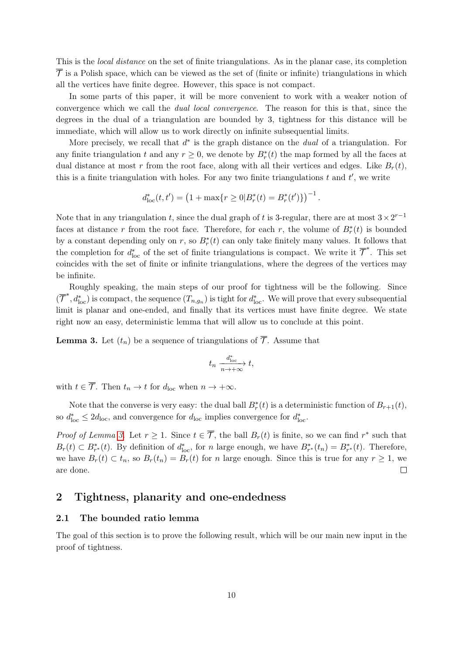This is the local distance on the set of finite triangulations. As in the planar case, its completion  $\overline{\mathcal{T}}$  is a Polish space, which can be viewed as the set of (finite or infinite) triangulations in which all the vertices have finite degree. However, this space is not compact.

In some parts of this paper, it will be more convenient to work with a weaker notion of convergence which we call the dual local convergence. The reason for this is that, since the degrees in the dual of a triangulation are bounded by 3, tightness for this distance will be immediate, which will allow us to work directly on infinite subsequential limits.

More precisely, we recall that  $d^*$  is the graph distance on the *dual* of a triangulation. For any finite triangulation t and any  $r \geq 0$ , we denote by  $B_r^*(t)$  the map formed by all the faces at dual distance at most r from the root face, along with all their vertices and edges. Like  $B_r(t)$ , this is a finite triangulation with holes. For any two finite triangulations  $t$  and  $t'$ , we write

$$
d_{\text{loc}}^*(t, t') = \left(1 + \max\{r \ge 0 | B_r^*(t) = B_r^*(t')\}\right)^{-1}.
$$

Note that in any triangulation t, since the dual graph of t is 3-regular, there are at most  $3 \times 2^{r-1}$ faces at distance r from the root face. Therefore, for each r, the volume of  $B_r^*(t)$  is bounded by a constant depending only on r, so  $B_r^*(t)$  can only take finitely many values. It follows that the completion for  $d_{\text{loc}}^*$  of the set of finite triangulations is compact. We write it  $\overline{\mathcal{T}}^*$ . This set coincides with the set of finite or infinite triangulations, where the degrees of the vertices may be infinite.

Roughly speaking, the main steps of our proof for tightness will be the following. Since  $(\overline{\mathcal{T}}^*, d^*_{\text{loc}})$  is compact, the sequence  $(T_{n,g_n})$  is tight for  $d^*_{\text{loc}}$ . We will prove that every subsequential limit is planar and one-ended, and finally that its vertices must have finite degree. We state right now an easy, deterministic lemma that will allow us to conclude at this point.

<span id="page-9-2"></span>**Lemma 3.** Let  $(t_n)$  be a sequence of triangulations of  $\overline{\mathcal{T}}$ . Assume that

$$
t_n \xrightarrow[n \to +\infty]{d^*_{\text{loc}}} t,
$$

with  $t \in \overline{\mathcal{T}}$ . Then  $t_n \to t$  for  $d_{\text{loc}}$  when  $n \to +\infty$ .

Note that the converse is very easy: the dual ball  $B_r^*(t)$  is a deterministic function of  $B_{r+1}(t)$ , so  $d_{\text{loc}}^* \leq 2d_{\text{loc}}$ , and convergence for  $d_{\text{loc}}$  implies convergence for  $d_{\text{loc}}^*$ .

*Proof of Lemma [3.](#page-9-2)* Let  $r \geq 1$ . Since  $t \in \overline{\mathcal{T}}$ , the ball  $B_r(t)$  is finite, so we can find  $r^*$  such that  $B_r(t) \subset B_{r^*}^*(t)$ . By definition of  $d_{\text{loc}}^*$ , for n large enough, we have  $B_{r^*}^*(t_n) = B_{r^*}^*(t)$ . Therefore, we have  $B_r(t) \subset t_n$ , so  $B_r(t_n) = B_r(t)$  for n large enough. Since this is true for any  $r \ge 1$ , we are done.  $\Box$ 

## <span id="page-9-0"></span>2 Tightness, planarity and one-endedness

#### <span id="page-9-1"></span>2.1 The bounded ratio lemma

The goal of this section is to prove the following result, which will be our main new input in the proof of tightness.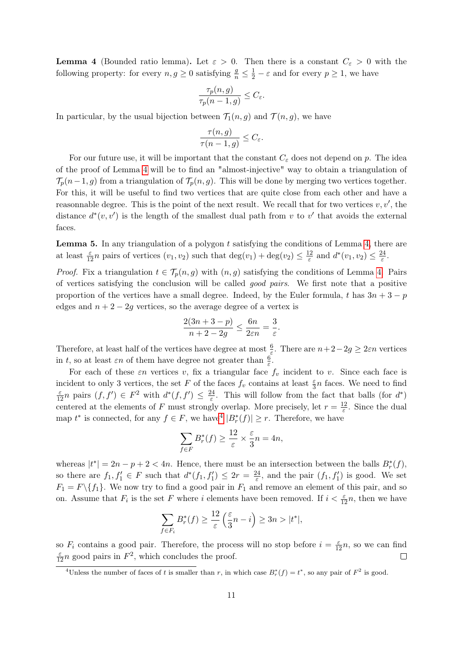<span id="page-10-0"></span>**Lemma 4** (Bounded ratio lemma). Let  $\varepsilon > 0$ . Then there is a constant  $C_{\varepsilon} > 0$  with the following property: for every  $n, g \geq 0$  satisfying  $\frac{g}{n} \leq \frac{1}{2} - \varepsilon$  and for every  $p \geq 1$ , we have

$$
\frac{\tau_p(n,g)}{\tau_p(n-1,g)} \le C_{\varepsilon}.
$$

In particular, by the usual bijection between  $\mathcal{T}_1(n, g)$  and  $\mathcal{T}(n, g)$ , we have

$$
\frac{\tau(n,g)}{\tau(n-1,g)} \leq C_{\varepsilon}.
$$

For our future use, it will be important that the constant  $C_{\varepsilon}$  does not depend on p. The idea of the proof of Lemma [4](#page-10-0) will be to find an "almost-injective" way to obtain a triangulation of  $\mathcal{T}_p(n-1, g)$  from a triangulation of  $\mathcal{T}_p(n, g)$ . This will be done by merging two vertices together. For this, it will be useful to find two vertices that are quite close from each other and have a reasonnable degree. This is the point of the next result. We recall that for two vertices  $v, v'$ , the distance  $d^*(v, v')$  is the length of the smallest dual path from v to v' that avoids the external faces.

<span id="page-10-2"></span>**Lemma 5.** In any triangulation of a polygon  $t$  satisfying the conditions of Lemma [4,](#page-10-0) there are at least  $\frac{\varepsilon}{12}n$  pairs of vertices  $(v_1, v_2)$  such that  $\deg(v_1) + \deg(v_2) \leq \frac{12}{\varepsilon}$  $\frac{d}{\varepsilon}$  and  $d^*(v_1, v_2) \leq \frac{24}{\varepsilon}$  $\frac{24}{\varepsilon}$ .

*Proof.* Fix a triangulation  $t \in \mathcal{T}_p(n,g)$  with  $(n,g)$  satisfying the conditions of Lemma [4.](#page-10-0) Pairs of vertices satisfying the conclusion will be called good pairs. We first note that a positive proportion of the vertices have a small degree. Indeed, by the Euler formula, t has  $3n + 3 - p$ edges and  $n + 2 - 2g$  vertices, so the average degree of a vertex is

$$
\frac{2(3n+3-p)}{n+2-2g} \le \frac{6n}{2\varepsilon n} = \frac{3}{\varepsilon}.
$$

Therefore, at least half of the vertices have degree at most  $\frac{6}{\varepsilon}$ . There are  $n+2-2g \geq 2\varepsilon n$  vertices in t, so at least  $\varepsilon n$  of them have degree not greater than  $\frac{6}{\varepsilon}$ .

For each of these  $\varepsilon n$  vertices v, fix a triangular face  $f_v$  incident to v. Since each face is incident to only 3 vertices, the set F of the faces  $f_v$  contains at least  $\frac{\varepsilon}{3}n$  faces. We need to find  $\frac{\varepsilon}{12}n$  pairs  $(f, f') \in F^2$  with  $d^*(f, f') \leq \frac{24}{\varepsilon}$  $\frac{24}{\varepsilon}$ . This will follow from the fact that balls (for  $d^*$ ) centered at the elements of F must strongly overlap. More precisely, let  $r = \frac{12}{5}$  $\frac{12}{\varepsilon}$ . Since the dual map  $t^*$  is connected, for any  $f \in F$ , we have  $|B_r^*(f)| \geq r$ . Therefore, we have

$$
\sum_{f \in F} B_r^*(f) \ge \frac{12}{\varepsilon} \times \frac{\varepsilon}{3} n = 4n,
$$

whereas  $|t^*| = 2n - p + 2 < 4n$ . Hence, there must be an intersection between the balls  $B_r^*(f)$ , so there are  $f_1, f'_1 \in F$  such that  $d^*(f_1, f'_1) \leq 2r = \frac{24}{\varepsilon}$  $\frac{24}{\varepsilon}$ , and the pair  $(f_1, f_1')$  is good. We set  $F_1 = F \setminus \{f_1\}.$  We now try to find a good pair in  $F_1$  and remove an element of this pair, and so on. Assume that  $F_i$  is the set F where i elements have been removed. If  $i < \frac{\varepsilon}{12}n$ , then we have

$$
\sum_{f \in F_i} B_r^*(f) \ge \frac{12}{\varepsilon} \left( \frac{\varepsilon}{3} n - i \right) \ge 3n > |t^*|,
$$

so  $F_i$  contains a good pair. Therefore, the process will no stop before  $i = \frac{\varepsilon}{12}n$ , so we can find  $\frac{\varepsilon}{12}n$  good pairs in  $F^2$ , which concludes the proof.  $\Box$ 

<span id="page-10-1"></span><sup>&</sup>lt;sup>4</sup>Unless the number of faces of t is smaller than r, in which case  $B_r^*(f) = t^*$ , so any pair of  $F^2$  is good.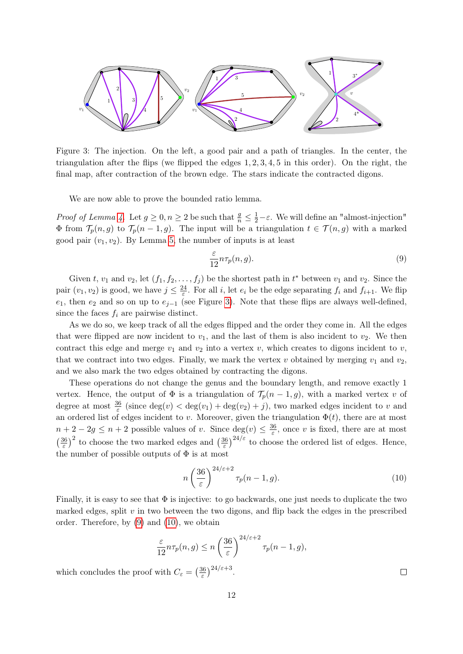

<span id="page-11-0"></span>Figure 3: The injection. On the left, a good pair and a path of triangles. In the center, the triangulation after the flips (we flipped the edges  $1, 2, 3, 4, 5$  in this order). On the right, the final map, after contraction of the brown edge. The stars indicate the contracted digons.

We are now able to prove the bounded ratio lemma.

*Proof of Lemma [4.](#page-10-0)* Let  $g \ge 0, n \ge 2$  be such that  $\frac{g}{n} \le \frac{1}{2} - \varepsilon$ . We will define an "almost-injection"  $\Phi$  from  $\mathcal{T}_p(n,g)$  to  $\mathcal{T}_p(n-1,g)$ . The input will be a triangulation  $t \in \mathcal{T}(n,g)$  with a marked good pair  $(v_1, v_2)$ . By Lemma [5,](#page-10-2) the number of inputs is at least

<span id="page-11-1"></span>
$$
\frac{\varepsilon}{12} n \tau_p(n, g). \tag{9}
$$

Given t,  $v_1$  and  $v_2$ , let  $(f_1, f_2, \ldots, f_j)$  be the shortest path in  $t^*$  between  $v_1$  and  $v_2$ . Since the pair  $(v_1, v_2)$  is good, we have  $j \leq \frac{24}{5}$  $\frac{d^2}{\varepsilon}$ . For all *i*, let  $e_i$  be the edge separating  $f_i$  and  $f_{i+1}$ . We flip e<sub>1</sub>, then e<sub>2</sub> and so on up to e<sub>j−1</sub> (see Figure [3\)](#page-11-0). Note that these flips are always well-defined, since the faces  $f_i$  are pairwise distinct.

As we do so, we keep track of all the edges flipped and the order they come in. All the edges that were flipped are now incident to  $v_1$ , and the last of them is also incident to  $v_2$ . We then contract this edge and merge  $v_1$  and  $v_2$  into a vertex  $v$ , which creates to digons incident to  $v$ , that we contract into two edges. Finally, we mark the vertex v obtained by merging  $v_1$  and  $v_2$ , and we also mark the two edges obtained by contracting the digons.

These operations do not change the genus and the boundary length, and remove exactly 1 vertex. Hence, the output of  $\Phi$  is a triangulation of  $\mathcal{T}_p(n-1,g)$ , with a marked vertex v of degree at most  $\frac{36}{\varepsilon}$  (since  $\deg(v) < \deg(v_1) + \deg(v_2) + j$ ), two marked edges incident to v and an ordered list of edges incident to v. Moreover, given the triangulation  $\Phi(t)$ , there are at most  $n+2-2g \leq n+2$  possible values of v. Since  $\deg(v) \leq \frac{36}{5}$  $\frac{36}{\varepsilon}$ , once v is fixed, there are at most  $\left(\frac{36}{5}\right)$  $\left(\frac{36}{\varepsilon}\right)^2$  to choose the two marked edges and  $\left(\frac{36}{\varepsilon}\right)^2$  $\frac{36}{\varepsilon}$ )<sup>24/ $\varepsilon$ </sup> to choose the ordered list of edges. Hence, the number of possible outputs of  $\Phi$  is at most

<span id="page-11-2"></span>
$$
n\left(\frac{36}{\varepsilon}\right)^{24/\varepsilon+2}\tau_p(n-1,g). \tag{10}
$$

Finally, it is easy to see that  $\Phi$  is injective: to go backwards, one just needs to duplicate the two marked edges, split  $v$  in two between the two digons, and flip back the edges in the prescribed order. Therefore, by [\(9\)](#page-11-1) and [\(10\)](#page-11-2), we obtain

$$
\frac{\varepsilon}{12} n \tau_p(n,g) \le n \left(\frac{36}{\varepsilon}\right)^{24/\varepsilon+2} \tau_p(n-1,g),
$$

which concludes the proof with  $C_{\varepsilon} = \left(\frac{36}{\varepsilon}\right)$  $\frac{36}{\varepsilon}$ )<sup>24/ $\varepsilon$ +3</sup>.

 $\Box$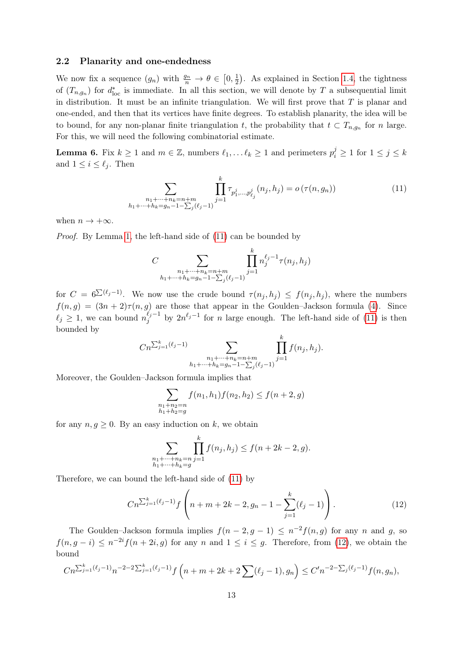#### <span id="page-12-0"></span>2.2 Planarity and one-endedness

We now fix a sequence  $(g_n)$  with  $\frac{g_n}{n} \to \theta \in [0, \frac{1}{2}]$  $\frac{1}{2}$ ). As explained in Section [1.4,](#page-8-0) the tightness of  $(T_{n,g_n})$  for  $d_{\text{loc}}^*$  is immediate. In all this section, we will denote by T a subsequential limit in distribution. It must be an infinite triangulation. We will first prove that  $T$  is planar and one-ended, and then that its vertices have finite degrees. To establish planarity, the idea will be to bound, for any non-planar finite triangulation t, the probability that  $t \text{ }\subset T_{n,g_n}$  for n large. For this, we will need the following combinatorial estimate.

<span id="page-12-3"></span>**Lemma 6.** Fix  $k \ge 1$  and  $m \in \mathbb{Z}$ , numbers  $\ell_1, \ldots \ell_k \ge 1$  and perimeters  $p_i^j \ge 1$  for  $1 \le j \le k$ and  $1 \leq i \leq \ell_j$ . Then

<span id="page-12-1"></span>
$$
\sum_{\substack{n_1 + \dots + n_k = n+m\\h_1 + \dots + h_k = g_n - 1 - \sum_j(\ell_j - 1)}} \prod_{j=1}^k \tau_{p_1^j, \dots, p_{\ell_j}^j}(n_j, h_j) = o\left(\tau(n, g_n)\right)
$$
\n(11)

when  $n \to +\infty$ .

Proof. By Lemma [1,](#page-6-2) the left-hand side of  $(11)$  can be bounded by

$$
C \sum_{\substack{n_1 + \dots + n_k = n + m \\ h_1 + \dots + h_k = g_n - 1 - \sum_j (\ell_j - 1)}} \prod_{j=1}^k n_j^{\ell_j - 1} \tau(n_j, h_j)
$$

for  $C = 6^{\sum (\ell_j-1)}$ . We now use the crude bound  $\tau(n_j, h_j) \leq f(n_j, h_j)$ , where the numbers  $f(n, g) = (3n + 2)\tau(n, g)$  are those that appear in the Goulden–Jackson formula [\(4\)](#page-6-3). Since  $\ell_j \geq 1$ , we can bound  $n_j^{\ell_j-1}$  $j^{l_j-1}$  by  $2n^{l_j-1}$  for *n* large enough. The left-hand side of [\(11\)](#page-12-1) is then bounded by

$$
Cn^{\sum_{j=1}^{k}(\ell_j-1)}\sum_{\substack{n_1+\cdots+n_k=n+m\\h_1+\cdots+h_k=g_n-1-\sum_j(\ell_j-1)}}\prod_{j=1}^k f(n_j,h_j).
$$

Moreover, the Goulden–Jackson formula implies that

$$
\sum_{\substack{n_1+n_2=n\\h_1+h_2=g}} f(n_1, h_1) f(n_2, h_2) \le f(n+2, g)
$$

for any  $n, g \geq 0$ . By an easy induction on k, we obtain

$$
\sum_{\substack{n_1+\dots+n_k=n\\h_1+\dots+h_k=g}} \prod_{j=1}^k f(n_j, h_j) \le f(n+2k-2, g).
$$

Therefore, we can bound the left-hand side of [\(11\)](#page-12-1) by

<span id="page-12-2"></span>
$$
Cn^{\sum_{j=1}^{k}(\ell_j-1)}f\left(n+m+2k-2,g_n-1-\sum_{j=1}^{k}(\ell_j-1)\right).
$$
 (12)

The Goulden–Jackson formula implies  $f(n-2,g-1) \leq n^{-2}f(n,g)$  for any n and g, so  $f(n, g - i) \leq n^{-2i} f(n + 2i, g)$  for any n and  $1 \leq i \leq g$ . Therefore, from [\(12\)](#page-12-2), we obtain the bound

$$
Cn^{\sum_{j=1}^k (\ell_j - 1)} n^{-2 - 2\sum_{j=1}^k (\ell_j - 1)} f\left(n + m + 2k + 2\sum_{j=1}^k (\ell_j - 1), g_n\right) \le C'n^{-2 - \sum_j (\ell_j - 1)} f(n, g_n),
$$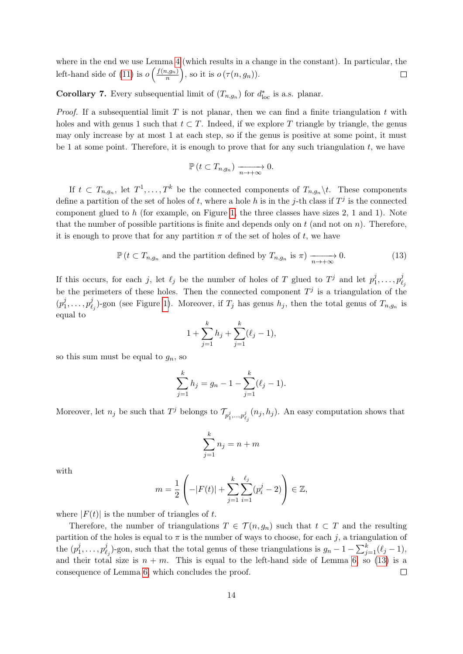where in the end we use Lemma [4](#page-10-0) (which results in a change in the constant). In particular, the left-hand side of [\(11\)](#page-12-1) is  $o\left(\frac{f(n,g_n)}{n}\right)$  $\binom{n}{n}$ , so it is  $o(\tau(n, g_n)).$  $\Box$ 

<span id="page-13-1"></span>**Corollary 7.** Every subsequential limit of  $(T_{n,g_n})$  for  $d_{\text{loc}}^*$  is a.s. planar.

*Proof.* If a subsequential limit T is not planar, then we can find a finite triangulation t with holes and with genus 1 such that  $t \subset T$ . Indeed, if we explore T triangle by triangle, the genus may only increase by at most 1 at each step, so if the genus is positive at some point, it must be 1 at some point. Therefore, it is enough to prove that for any such triangulation  $t$ , we have

$$
\mathbb{P}\left(t \subset T_{n,g_n}\right) \xrightarrow[n \to +\infty]{} 0.
$$

If  $t \in T_{n,g_n}$ , let  $T^1, \ldots, T^k$  be the connected components of  $T_{n,g_n} \backslash t$ . These components define a partition of the set of holes of t, where a hole h is in the j-th class if  $T<sup>j</sup>$  is the connected component glued to  $h$  (for example, on Figure [1,](#page-6-1) the three classes have sizes 2, 1 and 1). Note that the number of possible partitions is finite and depends only on  $t$  (and not on  $n$ ). Therefore, it is enough to prove that for any partition  $\pi$  of the set of holes of t, we have

<span id="page-13-0"></span>
$$
\mathbb{P}\left(t \subset T_{n,g_n} \text{ and the partition defined by } T_{n,g_n} \text{ is } \pi\right) \xrightarrow[n \to +\infty]{} 0. \tag{13}
$$

If this occurs, for each j, let  $\ell_j$  be the number of holes of T glued to  $T^j$  and let  $p_1^j$  $p_1^j, \ldots, p_\ell^j$  $\ell_j$ be the perimeters of these holes. Then the connected component  $T<sup>j</sup>$  is a triangulation of the  $(p_1^j)$  $p_1^j,\ldots,p_\ell^j$  $\mathcal{L}_{\ell_j}^j$ )-gon (see Figure [1\)](#page-6-1). Moreover, if  $T_j$  has genus  $h_j$ , then the total genus of  $T_{n,g_n}$  is equal to

$$
1 + \sum_{j=1}^{k} h_j + \sum_{j=1}^{k} (\ell_j - 1),
$$

so this sum must be equal to  $g_n$ , so

$$
\sum_{j=1}^{k} h_j = g_n - 1 - \sum_{j=1}^{k} (\ell_j - 1).
$$

Moreover, let  $n_j$  be such that  $T^j$  belongs to  $\mathcal{T}_{p_1^j,\dots,p_{\ell_j}^j}(n_j,h_j)$ . An easy computation shows that

$$
\sum_{j=1}^{k} n_j = n + m
$$

with

$$
m = \frac{1}{2} \left( -|F(t)| + \sum_{j=1}^{k} \sum_{i=1}^{\ell_j} (p_i^j - 2) \right) \in \mathbb{Z},
$$

where  $|F(t)|$  is the number of triangles of t.

Therefore, the number of triangulations  $T \in \mathcal{T}(n, g_n)$  such that  $t \subset T$  and the resulting partition of the holes is equal to  $\pi$  is the number of ways to choose, for each j, a triangulation of the  $(p_1^j)$  $j_1,\ldots,p_\ell^j$  $j_{\ell_j}$ )-gon, such that the total genus of these triangulations is  $g_n - 1 - \sum_{j=1}^k (\ell_j - 1)$ , and their total size is  $n + m$ . This is equal to the left-hand side of Lemma [6,](#page-12-3) so [\(13\)](#page-13-0) is a consequence of Lemma [6,](#page-12-3) which concludes the proof.  $\Box$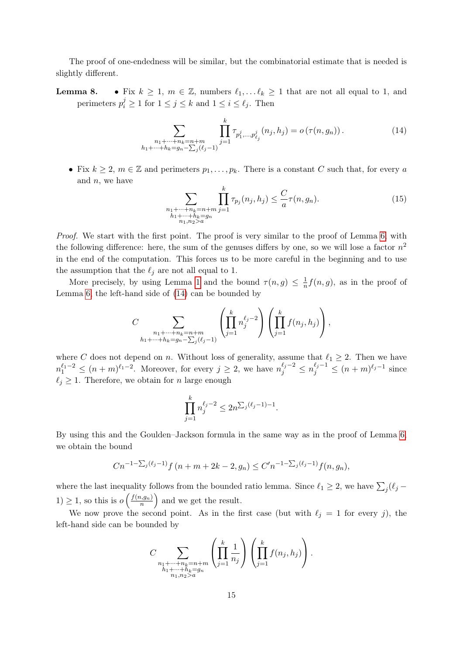The proof of one-endedness will be similar, but the combinatorial estimate that is needed is slightly different.

**Lemma 8.** • Fix  $k \geq 1$ ,  $m \in \mathbb{Z}$ , numbers  $\ell_1, \ldots \ell_k \geq 1$  that are not all equal to 1, and perimeters  $p_i^j \ge 1$  for  $1 \le j \le k$  and  $1 \le i \le \ell_j$ . Then

<span id="page-14-0"></span>
$$
\sum_{\substack{n_1+\dots+n_k=n+m\\h_1+\dots+h_k=g_n-\sum_j(\ell_j-1)}}\prod_{j=1}^k\tau_{p_1^j,\dots,p_{\ell_j}^j}(n_j,h_j)=o\left(\tau(n,g_n)\right). \tag{14}
$$

• Fix  $k \geq 2$ ,  $m \in \mathbb{Z}$  and perimeters  $p_1, \ldots, p_k$ . There is a constant C such that, for every a and  $n$ , we have

$$
\sum_{\substack{n_1 + \dots + n_k = n+m \\ h_1 + \dots + h_k = g_n \\ n_1, n_2 > a}} \prod_{j=1}^k \tau_{p_j}(n_j, h_j) \le \frac{C}{a} \tau(n, g_n). \tag{15}
$$

Proof. We start with the first point. The proof is very similar to the proof of Lemma [6,](#page-12-3) with the following difference: here, the sum of the genuses differs by one, so we will lose a factor  $n^2$ in the end of the computation. This forces us to be more careful in the beginning and to use the assumption that the  $\ell_i$  are not all equal to 1.

More precisely, by using Lemma [1](#page-6-2) and the bound  $\tau(n,g) \leq \frac{1}{n}$  $\frac{1}{n}f(n, g)$ , as in the proof of Lemma [6,](#page-12-3) the left-hand side of [\(14\)](#page-14-0) can be bounded by

$$
C \sum_{\substack{n_1 + \dots + n_k = n+m \\ h_1 + \dots + h_k = g_n - \sum_j (\ell_j - 1)}} \left( \prod_{j=1}^k n_j^{\ell_j - 2} \right) \left( \prod_{j=1}^k f(n_j, h_j) \right),
$$

where C does not depend on n. Without loss of generality, assume that  $\ell_1 \geq 2$ . Then we have  $n_1^{\ell_1-2} \le (n+m)^{\ell_1-2}$ . Moreover, for every  $j \ge 2$ , we have  $n_j^{\ell_j-2} \le n_j^{\ell_j-1} \le (n+m)^{\ell_j-1}$  since  $\ell_i \geq 1$ . Therefore, we obtain for *n* large enough

$$
\prod_{j=1}^{k} n_j^{\ell_j - 2} \le 2n^{\sum_j (\ell_j - 1) - 1}.
$$

By using this and the Goulden–Jackson formula in the same way as in the proof of Lemma [6,](#page-12-3) we obtain the bound

$$
Cn^{-1-\sum_j(\ell_j-1)}f(n+m+2k-2,g_n) \leq C'n^{-1-\sum_j(\ell_j-1)}f(n,g_n),
$$

where the last inequality follows from the bounded ratio lemma. Since  $\ell_1 \geq 2$ , we have  $\sum_j (\ell_j 1) \geq 1$ , so this is  $o\left(\frac{f(n,g_n)}{n}\right)$  $\left(\frac{n, g_n}{n}\right)$  and we get the result.

We now prove the second point. As in the first case (but with  $\ell_j = 1$  for every j), the left-hand side can be bounded by

$$
C\sum_{\substack{n_1+\cdots+n_k=n+m\\h_1+\cdots+h_k=g_n\\ n_1,n_2>a}}\left(\prod_{j=1}^k\frac{1}{n_j}\right)\left(\prod_{j=1}^kf(n_j,h_j)\right).
$$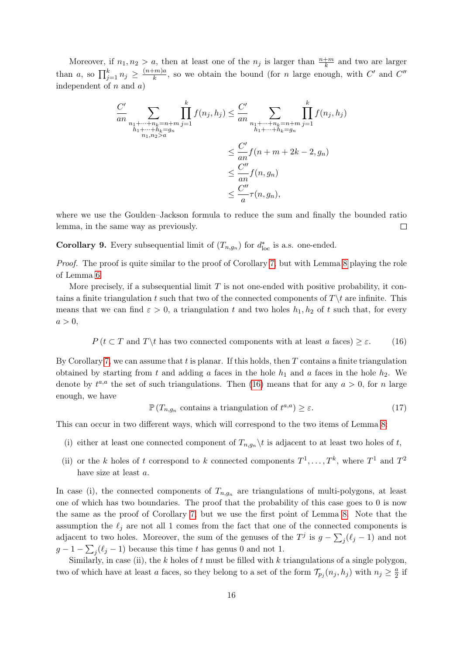Moreover, if  $n_1, n_2 > a$ , then at least one of the  $n_j$  is larger than  $\frac{n+m}{k}$  and two are larger than a, so  $\prod_{j=1}^{k} n_j \geq \frac{(n+m)a}{k}$  $\frac{(-m)a}{k}$ , so we obtain the bound (for *n* large enough, with C' and C'' independent of  $n$  and  $a$ )

$$
\frac{C'}{an} \sum_{\substack{n_1 + \dots + n_k = n + m \\ n_1 + \dots + n_k = g_n \\ n_1, n_2 > a}} \prod_{j=1}^k f(n_j, h_j) \le \frac{C'}{an} \sum_{\substack{n_1 + \dots + n_k = n + m \\ n_1 + \dots + n_k = g_n \\ n_1 + \dots + n_k = g_n}} \prod_{j=1}^k f(n_j, h_j)
$$
\n
$$
\le \frac{C'}{an} f(n + m + 2k - 2, g_n)
$$
\n
$$
\le \frac{C''}{an} f(n, g_n)
$$
\n
$$
\le \frac{C''}{a} \tau(n, g_n),
$$

where we use the Goulden–Jackson formula to reduce the sum and finally the bounded ratio lemma, in the same way as previously.  $\Box$ 

<span id="page-15-2"></span>**Corollary 9.** Every subsequential limit of  $(T_{n,g_n})$  for  $d_{\text{loc}}^*$  is a.s. one-ended.

Proof. The proof is quite similar to the proof of Corollary [7,](#page-13-1) but with Lemma [8](#page-0-0) playing the role of Lemma [6.](#page-12-3)

More precisely, if a subsequential limit  $T$  is not one-ended with positive probability, it contains a finite triangulation t such that two of the connected components of  $T\setminus t$  are infinite. This means that we can find  $\varepsilon > 0$ , a triangulation t and two holes  $h_1, h_2$  of t such that, for every  $a > 0$ ,

<span id="page-15-0"></span>
$$
P(t \subset T \text{ and } T \setminus t \text{ has two connected components with at least } a \text{ faces}) \ge \varepsilon. \tag{16}
$$

By Corollary [7,](#page-13-1) we can assume that  $t$  is planar. If this holds, then  $T$  contains a finite triangulation obtained by starting from t and adding a faces in the hole  $h_1$  and a faces in the hole  $h_2$ . We denote by  $t^{a,a}$  the set of such triangulations. Then [\(16\)](#page-15-0) means that for any  $a > 0$ , for n large enough, we have

<span id="page-15-1"></span>
$$
\mathbb{P}\left(T_{n,g_n}\text{ contains a triangulation of }t^{a,a}\right) \geq \varepsilon. \tag{17}
$$

This can occur in two different ways, which will correspond to the two items of Lemma [8:](#page-0-0)

- (i) either at least one connected component of  $T_{n,q_n} \backslash t$  is adjacent to at least two holes of t,
- (ii) or the k holes of t correspond to k connected components  $T^1, \ldots, T^k$ , where  $T^1$  and  $T^2$ have size at least a.

In case (i), the connected components of  $T_{n,q_n}$  are triangulations of multi-polygons, at least one of which has two boundaries. The proof that the probability of this case goes to  $0$  is now the same as the proof of Corollary [7,](#page-13-1) but we use the first point of Lemma [8.](#page-0-0) Note that the assumption the  $\ell_j$  are not all 1 comes from the fact that one of the connected components is adjacent to two holes. Moreover, the sum of the genuses of the  $T^j$  is  $g - \sum_j (\ell_j - 1)$  and not  $g-1-\sum_j(\ell_j-1)$  because this time t has genus 0 and not 1.

Similarly, in case (ii), the  $k$  holes of  $t$  must be filled with  $k$  triangulations of a single polygon, two of which have at least a faces, so they belong to a set of the form  $\mathcal{T}_{p_j}(n_j, h_j)$  with  $n_j \geq \frac{a}{2}$  $rac{a}{2}$  if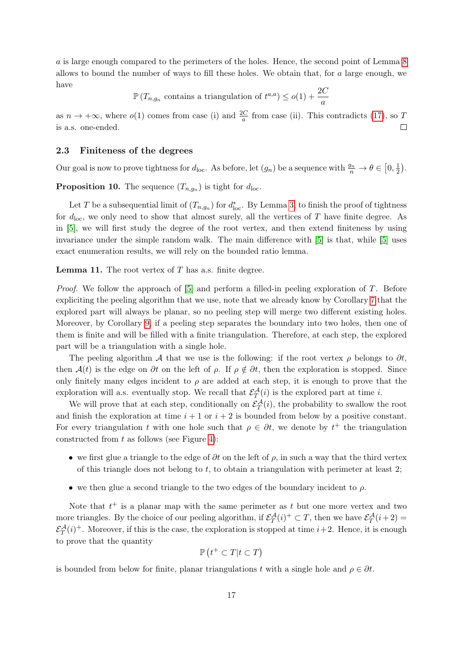a is large enough compared to the perimeters of the holes. Hence, the second point of Lemma [8](#page-0-0) allows to bound the number of ways to fill these holes. We obtain that, for a large enough, we have

 $\mathbb{P}\left(T_{n,g_n}\right)$  contains a triangulation of  $t^{a,a}\right) \leq o(1) + \frac{2C}{a}$ 

as  $n \to +\infty$ , where  $o(1)$  comes from case (i) and  $\frac{2C}{a}$  from case (ii). This contradicts [\(17\)](#page-15-1), so T is a.s. one-ended.  $\Box$ 

#### <span id="page-16-0"></span>2.3 Finiteness of the degrees

Our goal is now to prove tightness for  $d_{loc}$ . As before, let  $(g_n)$  be a sequence with  $\frac{g_n}{n} \to \theta \in [0, \frac{1}{2}]$  $\frac{1}{2}$ .

<span id="page-16-1"></span>**Proposition 10.** The sequence  $(T_{n,g_n})$  is tight for  $d_{\text{loc}}$ .

Let T be a subsequential limit of  $(T_{n,g_n})$  for  $d_{\text{loc}}^*$ . By Lemma [3,](#page-9-2) to finish the proof of tightness for  $d_{\rm loc}$ , we only need to show that almost surely, all the vertices of T have finite degree. As in [\[5\]](#page-34-4), we will first study the degree of the root vertex, and then extend finiteness by using invariance under the simple random walk. The main difference with [\[5\]](#page-34-4) is that, while [\[5\]](#page-34-4) uses exact enumeration results, we will rely on the bounded ratio lemma.

<span id="page-16-2"></span>**Lemma 11.** The root vertex of  $T$  has a.s. finite degree.

*Proof.* We follow the approach of  $[5]$  and perform a filled-in peeling exploration of T. Before expliciting the peeling algorithm that we use, note that we already know by Corollary [7](#page-13-1) that the explored part will always be planar, so no peeling step will merge two different existing holes. Moreover, by Corollary [9,](#page-15-2) if a peeling step separates the boundary into two holes, then one of them is finite and will be filled with a finite triangulation. Therefore, at each step, the explored part will be a triangulation with a single hole.

The peeling algorithm A that we use is the following: if the root vertex  $\rho$  belongs to  $\partial t$ , then  $\mathcal{A}(t)$  is the edge on  $\partial t$  on the left of  $\rho$ . If  $\rho \notin \partial t$ , then the exploration is stopped. Since only finitely many edges incident to  $\rho$  are added at each step, it is enough to prove that the exploration will a.s. eventually stop. We recall that  $\mathcal{E}_T^{\mathcal{A}}(i)$  is the explored part at time *i*.

We will prove that at each step, conditionally on  $\mathcal{E}_T^{\mathcal{A}}(i)$ , the probability to swallow the root and finish the exploration at time  $i + 1$  or  $i + 2$  is bounded from below by a positive constant. For every triangulation t with one hole such that  $\rho \in \partial t$ , we denote by  $t^+$  the triangulation constructed from  $t$  as follows (see Figure [4\)](#page-17-0):

- we first glue a triangle to the edge of  $\partial t$  on the left of  $\rho$ , in such a way that the third vertex of this triangle does not belong to t, to obtain a triangulation with perimeter at least  $2$ ;
- we then glue a second triangle to the two edges of the boundary incident to  $\rho$ .

Note that  $t^+$  is a planar map with the same perimeter as t but one more vertex and two more triangles. By the choice of our peeling algorithm, if  $\mathcal{E}_T^{\mathcal{A}}(i)^+ \subset T$ , then we have  $\mathcal{E}_T^{\mathcal{A}}(i+2)$  $\mathcal{E}_T^{\mathcal{A}}(i)^+$ . Moreover, if this is the case, the exploration is stopped at time  $i+2$ . Hence, it is enough to prove that the quantity

$$
\mathbb{P}\left(t^+\subset T|t\subset T\right)
$$

is bounded from below for finite, planar triangulations t with a single hole and  $\rho \in \partial t$ .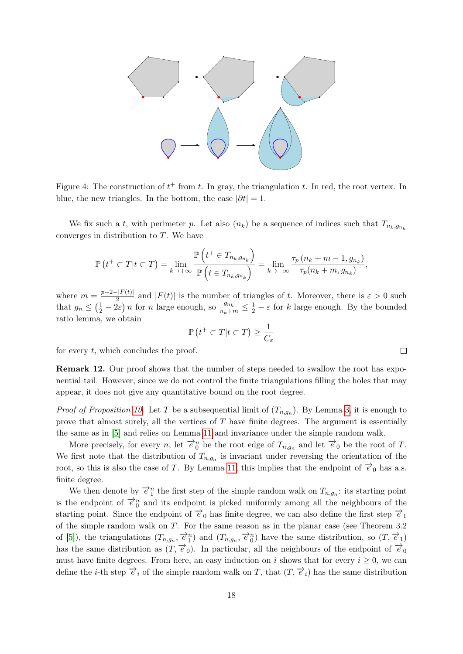

<span id="page-17-0"></span>Figure 4: The construction of  $t^+$  from t. In gray, the triangulation t. In red, the root vertex. In blue, the new triangles. In the bottom, the case  $|\partial t| = 1$ .

We fix such a t, with perimeter p. Let also  $(n_k)$  be a sequence of indices such that  $T_{n_k,q_{n_k}}$ converges in distribution to T. We have

$$
\mathbb{P}\left(t^+\subset T|t\subset T\right)=\lim_{k\to+\infty}\frac{\mathbb{P}\left(t^+\in T_{n_k,g_{n_k}}\right)}{\mathbb{P}\left(t\in T_{n_k,g_{n_k}}\right)}=\lim_{k\to+\infty}\frac{\tau_p\left(n_k+m-1,g_{n_k}\right)}{\tau_p\left(n_k+m,g_{n_k}\right)},
$$

where  $m = \frac{p-2-|F(t)|}{2}$  $\frac{2}{2}$  and  $|F(t)|$  is the number of triangles of t. Moreover, there is  $\varepsilon > 0$  such that  $g_n \leq (\frac{1}{2} - 2\varepsilon) n$  for n large enough, so  $\frac{g_{n_k}}{n_k + m} \leq \frac{1}{2} - \varepsilon$  for k large enough. By the bounded ratio lemma, we obtain

$$
\mathbb{P}\left(t^+ \subset T | t \subset T\right) \ge \frac{1}{C_{\varepsilon}}
$$

for every  $t$ , which concludes the proof.

Remark 12. Our proof shows that the number of steps needed to swallow the root has exponential tail. However, since we do not control the finite triangulations filling the holes that may appear, it does not give any quantitative bound on the root degree.

*Proof of Proposition [10.](#page-16-1)* Let T be a subsequential limit of  $(T_{n,g_n})$ . By Lemma [3,](#page-9-2) it is enough to prove that almost surely, all the vertices of  $T$  have finite degrees. The argument is essentially the same as in [\[5\]](#page-34-4) and relies on Lemma [11](#page-16-2) and invariance under the simple random walk.

More precisely, for every n, let  $\vec{e}_0^n$  be the root edge of  $T_{n,g_n}$  and let  $\vec{e}_0$  be the root of T. We first note that the distribution of  $T_{n,g_n}$  is invariant under reversing the orientation of the root, so this is also the case of T. By Lemma [11,](#page-16-2) this implies that the endpoint of  $\vec{e}_0$  has a.s. finite degree.

We then denote by  $\overrightarrow{e}_1^n$  the first step of the simple random walk on  $T_{n,g_n}$ : its starting point is the endpoint of  $\vec{e}_0^n$  and its endpoint is picked uniformly among all the neighbours of the starting point. Since the endpoint of  $\vec{e}_0$  has finite degree, we can also define the first step  $\vec{e}_1$ of the simple random walk on T. For the same reason as in the planar case (see Theorem 3.2 of [\[5\]](#page-34-4)), the triangulations  $(T_{n,g_n}, \vec{e}_1^n)$  and  $(T_{n,g_n}, \vec{e}_0^n)$  have the same distribution, so  $(T, \vec{e}_1)$ has the same distribution as  $(T, \vec{e}_0)$ . In particular, all the neighbours of the endpoint of  $\vec{e}_0$ must have finite degrees. From here, an easy induction on i shows that for every  $i \geq 0$ , we can define the *i*-th step  $\vec{e}_i$  of the simple random walk on T, that  $(T, \vec{e}_i)$  has the same distribution

 $\Box$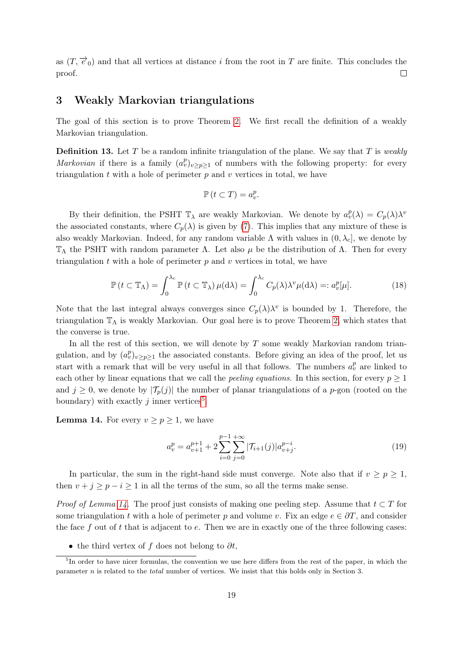as  $(T, \vec{e}_0)$  and that all vertices at distance i from the root in T are finite. This concludes the proof.  $\Box$ 

### <span id="page-18-0"></span>3 Weakly Markovian triangulations

The goal of this section is to prove Theorem [2.](#page-3-1) We first recall the definition of a weakly Markovian triangulation.

**Definition 13.** Let T be a random infinite triangulation of the plane. We say that T is weakly Markovian if there is a family  $(a_v^p)_{v\geq p\geq 1}$  of numbers with the following property: for every triangulation  $t$  with a hole of perimeter  $p$  and  $v$  vertices in total, we have

$$
\mathbb{P}\left(t\subset T\right)=a_v^p.
$$

By their definition, the PSHT  $\mathbb{T}_{\lambda}$  are weakly Markovian. We denote by  $a_v^p(\lambda) = C_p(\lambda)\lambda^v$ the associated constants, where  $C_p(\lambda)$  is given by [\(7\)](#page-7-4). This implies that any mixture of these is also weakly Markovian. Indeed, for any random variable  $\Lambda$  with values in  $(0, \lambda_c]$ , we denote by  $\mathbb{T}_\Lambda$  the PSHT with random parameter  $\Lambda$ . Let also  $\mu$  be the distribution of  $\Lambda$ . Then for every triangulation  $t$  with a hole of perimeter  $p$  and  $v$  vertices in total, we have

<span id="page-18-3"></span>
$$
\mathbb{P}\left(t \subset \mathbb{T}_{\Lambda}\right) = \int_{0}^{\lambda_{c}} \mathbb{P}\left(t \subset \mathbb{T}_{\lambda}\right) \mu(\mathrm{d}\lambda) = \int_{0}^{\lambda_{c}} C_{p}(\lambda) \lambda^{v} \mu(\mathrm{d}\lambda) =: a_{v}^{p}[\mu]. \tag{18}
$$

Note that the last integral always converges since  $C_p(\lambda)\lambda^v$  is bounded by 1. Therefore, the triangulation  $\mathbb{T}_{\Lambda}$  is weakly Markovian. Our goal here is to prove Theorem [2,](#page-3-1) which states that the converse is true.

In all the rest of this section, we will denote by  $T$  some weakly Markovian random triangulation, and by  $(a_v^p)_{v \geq p \geq 1}$  the associated constants. Before giving an idea of the proof, let us start with a remark that will be very useful in all that follows. The numbers  $a_v^p$  are linked to each other by linear equations that we call the *peeling equations*. In this section, for every  $p \geq 1$ and  $j \geq 0$ , we denote by  $|\mathcal{T}_{p}(j)|$  the number of planar triangulations of a p-gon (rooted on the boundary) with exactly j inner vertices<sup>[5](#page-18-1)</sup>.

<span id="page-18-2"></span>**Lemma 14.** For every  $v \geq p \geq 1$ , we have

<span id="page-18-4"></span>
$$
a_v^p = a_{v+1}^{p+1} + 2 \sum_{i=0}^{p-1} \sum_{j=0}^{+\infty} |\mathcal{T}_{i+1}(j)| a_{v+j}^{p-i}.
$$
 (19)

In particular, the sum in the right-hand side must converge. Note also that if  $v \ge p \ge 1$ , then  $v + j \ge p - i \ge 1$  in all the terms of the sum, so all the terms make sense.

*Proof of Lemma [14.](#page-18-2)* The proof just consists of making one peeling step. Assume that  $t \subset T$  for some triangulation t with a hole of perimeter p and volume v. Fix an edge  $e \in \partial T$ , and consider the face f out of t that is adjacent to  $e$ . Then we are in exactly one of the three following cases:

<span id="page-18-1"></span>• the third vertex of f does not belong to  $\partial t$ ,

<sup>&</sup>lt;sup>5</sup>In order to have nicer formulas, the convention we use here differs from the rest of the paper, in which the parameter n is related to the total number of vertices. We insist that this holds only in Section 3.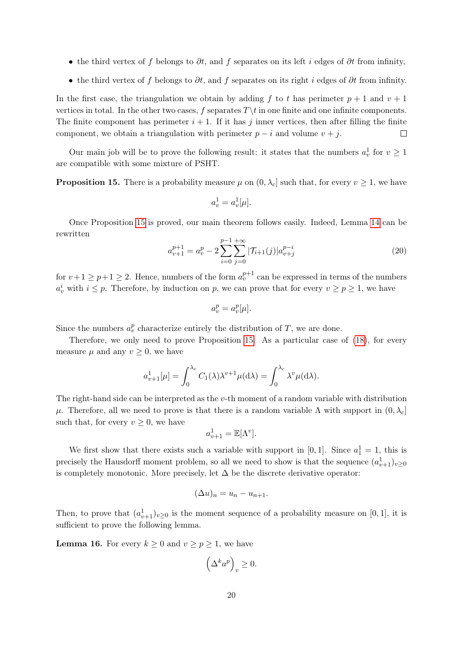- the third vertex of f belongs to  $\partial t$ , and f separates on its left i edges of  $\partial t$  from infinity,
- the third vertex of f belongs to  $\partial t$ , and f separates on its right i edges of  $\partial t$  from infinity.

In the first case, the triangulation we obtain by adding f to t has perimeter  $p + 1$  and  $v + 1$ vertices in total. In the other two cases, f separates  $T \setminus t$  in one finite and one infinite components. The finite component has perimeter  $i + 1$ . If it has j inner vertices, then after filling the finite component, we obtain a triangulation with perimeter  $p - i$  and volume  $v + j$ .  $\Box$ 

Our main job will be to prove the following result: it states that the numbers  $a_v^1$  for  $v \ge 1$ are compatible with some mixture of PSHT.

<span id="page-19-0"></span>**Proposition 15.** There is a probability measure  $\mu$  on  $(0, \lambda_c]$  such that, for every  $v \ge 1$ , we have

$$
a_v^1 = a_v^1[\mu].
$$

Once Proposition [15](#page-19-0) is proved, our main theorem follows easily. Indeed, Lemma [14](#page-18-2) can be rewritten

<span id="page-19-1"></span>
$$
a_{v+1}^{p+1} = a_v^p - 2\sum_{i=0}^{p-1} \sum_{j=0}^{+\infty} |\mathcal{T}_{i+1}(j)| a_{v+j}^{p-i}
$$
\n(20)

for  $v+1 \geq p+1 \geq 2$ . Hence, numbers of the form  $a_v^{p+1}$  can be expressed in terms of the numbers  $a_v^i$  with  $i \leq p$ . Therefore, by induction on p, we can prove that for every  $v \geq p \geq 1$ , we have

$$
a_v^p = a_v^p[\mu].
$$

Since the numbers  $a_v^p$  characterize entirely the distribution of T, we are done.

Therefore, we only need to prove Proposition [15.](#page-19-0) As a particular case of [\(18\)](#page-18-3), for every measure  $\mu$  and any  $v \geq 0$ , we have

$$
a_{\nu+1}^1[\mu] = \int_0^{\lambda_c} C_1(\lambda) \lambda^{\nu+1} \mu(\mathrm{d}\lambda) = \int_0^{\lambda_c} \lambda^{\nu} \mu(\mathrm{d}\lambda).
$$

The right-hand side can be interpreted as the v-th moment of a random variable with distribution μ. Therefore, all we need to prove is that there is a random variable Λ with support in  $(0, \lambda_c]$ such that, for every  $v \geq 0$ , we have

$$
a_{v+1}^1 = \mathbb{E}[\Lambda^v].
$$

We first show that there exists such a variable with support in [0, 1]. Since  $a_1^1 = 1$ , this is precisely the Hausdorff moment problem, so all we need to show is that the sequence  $(a_{v+1}^1)_{v\geq 0}$ is completely monotonic. More precisely, let  $\Delta$  be the discrete derivative operator:

$$
(\Delta u)_n = u_n - u_{n+1}.
$$

Then, to prove that  $(a_{v+1}^1)_{v\geq 0}$  is the moment sequence of a probability measure on [0, 1], it is sufficient to prove the following lemma.

<span id="page-19-2"></span>**Lemma 16.** For every  $k \geq 0$  and  $v \geq p \geq 1$ , we have

$$
\left(\Delta^k a^p\right)_v \ge 0.
$$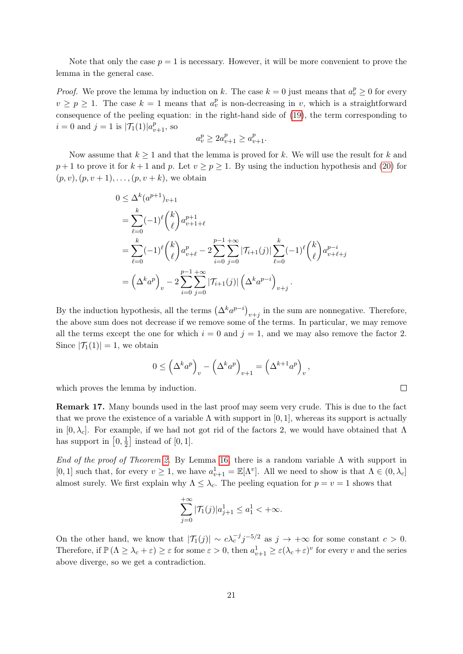Note that only the case  $p = 1$  is necessary. However, it will be more convenient to prove the lemma in the general case.

*Proof.* We prove the lemma by induction on k. The case  $k = 0$  just means that  $a_v^p \geq 0$  for every  $v \ge p \ge 1$ . The case  $k = 1$  means that  $a_v^p$  is non-decreasing in v, which is a straightforward consequence of the peeling equation: in the right-hand side of [\(19\)](#page-18-4), the term corresponding to  $i = 0$  and  $j = 1$  is  $|\mathcal{T}_1(1)| a_{v+1}^p$ , so

$$
a_v^p \ge 2a_{v+1}^p \ge a_{v+1}^p.
$$

Now assume that  $k \geq 1$  and that the lemma is proved for k. We will use the result for k and  $p+1$  to prove it for  $k+1$  and p. Let  $v > p > 1$ . By using the induction hypothesis and [\(20\)](#page-19-1) for  $(p, v), (p, v + 1), \ldots, (p, v + k)$ , we obtain

$$
0 \leq \Delta^{k}(a^{p+1})_{v+1}
$$
  
=  $\sum_{\ell=0}^{k} (-1)^{\ell} {k \choose \ell} a_{v+1+\ell}^{p+1}$   
=  $\sum_{\ell=0}^{k} (-1)^{\ell} {k \choose \ell} a_{v+\ell}^{p} - 2 \sum_{i=0}^{p-1} \sum_{j=0}^{+\infty} |\mathcal{T}_{i+1}(j)| \sum_{\ell=0}^{k} (-1)^{\ell} {k \choose \ell} a_{v+\ell+j}^{p-i}$   
=  $(\Delta^{k} a^{p})_{v} - 2 \sum_{i=0}^{p-1} \sum_{j=0}^{+\infty} |\mathcal{T}_{i+1}(j)| (\Delta^{k} a^{p-i})_{v+j}.$ 

By the induction hypothesis, all the terms  $(\Delta^k a^{p-i})_{v+j}$  in the sum are nonnegative. Therefore, the above sum does not decrease if we remove some of the terms. In particular, we may remove all the terms except the one for which  $i = 0$  and  $j = 1$ , and we may also remove the factor 2. Since  $|\mathcal{T}_1(1)| = 1$ , we obtain

$$
0 \leq \left(\Delta^k a^p\right)_v - \left(\Delta^k a^p\right)_{v+1} = \left(\Delta^{k+1} a^p\right)_v,
$$

 $\Box$ 

which proves the lemma by induction.

Remark 17. Many bounds used in the last proof may seem very crude. This is due to the fact that we prove the existence of a variable  $\Lambda$  with support in [0, 1], whereas its support is actually in  $[0, \lambda_c]$ . For example, if we had not got rid of the factors 2, we would have obtained that  $\Lambda$ has support in  $[0, \frac{1}{2}]$  $\frac{1}{2}$  instead of [0, 1].

End of the proof of Theorem [2.](#page-3-1) By Lemma [16,](#page-19-2) there is a random variable  $\Lambda$  with support in [0, 1] such that, for every  $v \ge 1$ , we have  $a_{v+1}^1 = \mathbb{E}[\Lambda^v]$ . All we need to show is that  $\Lambda \in (0, \lambda_c]$ almost surely. We first explain why  $\Lambda \leq \lambda_c$ . The peeling equation for  $p = v = 1$  shows that

$$
\sum_{j=0}^{+\infty} |\mathcal{T}_1(j)| a_{j+1}^1 \le a_1^1 < +\infty.
$$

On the other hand, we know that  $|\mathcal{T}_1(j)| \sim c \lambda_c^{-j} j^{-5/2}$  as  $j \to +\infty$  for some constant  $c > 0$ . Therefore, if  $\mathbb{P}(\Lambda \geq \lambda_c + \varepsilon) \geq \varepsilon$  for some  $\varepsilon > 0$ , then  $a_{\nu+1}^1 \geq \varepsilon (\lambda_c + \varepsilon)^{\nu}$  for every  $v$  and the series above diverge, so we get a contradiction.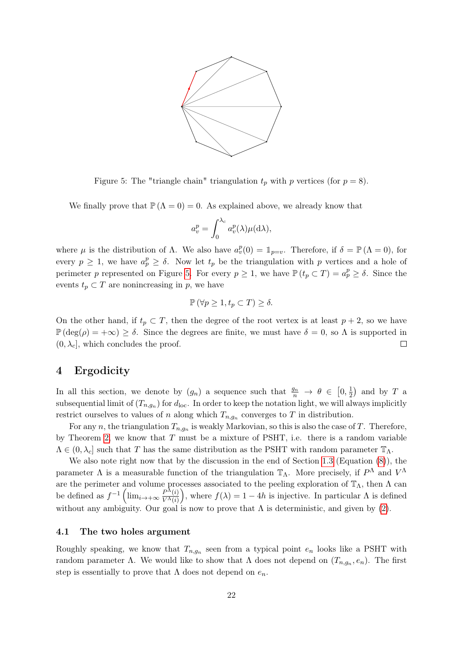

<span id="page-21-2"></span>Figure 5: The "triangle chain" triangulation  $t_p$  with p vertices (for  $p = 8$ ).

We finally prove that  $\mathbb{P}(\Lambda = 0) = 0$ . As explained above, we already know that

$$
a_v^p = \int_0^{\lambda_c} a_v^p(\lambda) \mu(\mathrm{d}\lambda),
$$

where  $\mu$  is the distribution of  $\Lambda$ . We also have  $a_v^p(0) = \mathbb{1}_{p=v}$ . Therefore, if  $\delta = \mathbb{P}(\Lambda = 0)$ , for every  $p \geq 1$ , we have  $a_p^p \geq \delta$ . Now let  $t_p$  be the triangulation with p vertices and a hole of perimeter p represented on Figure [5.](#page-21-2) For every  $p \geq 1$ , we have  $\mathbb{P}(t_p \subset T) = a_p^p \geq \delta$ . Since the events  $t_p \subset T$  are nonincreasing in p, we have

$$
\mathbb{P}\left(\forall p \geq 1, t_p \subset T\right) \geq \delta.
$$

On the other hand, if  $t_p \subset T$ , then the degree of the root vertex is at least  $p + 2$ , so we have  $\mathbb{P}(\deg(\rho) = +\infty) \ge \delta$ . Since the degrees are finite, we must have  $\delta = 0$ , so  $\Lambda$  is supported in  $(0, \lambda_c]$ , which concludes the proof.  $\Box$ 

## <span id="page-21-0"></span>4 Ergodicity

In all this section, we denote by  $(g_n)$  a sequence such that  $\frac{g_n}{n} \to \theta \in [0, \frac{1}{2}]$  $(\frac{1}{2})$  and by T a subsequential limit of  $(T_{n,g_n})$  for  $d_{\text{loc}}$ . In order to keep the notation light, we will always implicitly restrict ourselves to values of n along which  $T_{n,g_n}$  converges to T in distribution.

For any n, the triangulation  $T_{n,g_n}$  is weakly Markovian, so this is also the case of T. Therefore, by Theorem [2,](#page-3-1) we know that  $T$  must be a mixture of PSHT, i.e. there is a random variable  $\Lambda \in (0, \lambda_c]$  such that T has the same distribution as the PSHT with random parameter  $\mathbb{T}_{\Lambda}$ .

We also note right now that by the discussion in the end of Section [1.3](#page-7-0) (Equation [\(8\)](#page-8-1)), the parameter  $\Lambda$  is a measurable function of the triangulation  $\mathbb{T}_{\Lambda}$ . More precisely, if  $P^{\Lambda}$  and  $V^{\Lambda}$ are the perimeter and volume processes associated to the peeling exploration of  $\mathbb{T}_{\Lambda}$ , then  $\Lambda$  can be defined as  $f^{-1} \left( \lim_{i \to +\infty} \frac{P^{\bar{\Lambda}}(i)}{V^{\bar{\Lambda}}(i)} \right)$  $\frac{P^{\Lambda}(i)}{V^{\Lambda}(i)}$ , where  $f(\lambda) = 1 - 4h$  is injective. In particular  $\Lambda$  is defined without any ambiguity. Our goal is now to prove that  $\Lambda$  is deterministic, and given by [\(2\)](#page-2-1).

#### <span id="page-21-1"></span>4.1 The two holes argument

Roughly speaking, we know that  $T_{n,g_n}$  seen from a typical point  $e_n$  looks like a PSHT with random parameter  $\Lambda$ . We would like to show that  $\Lambda$  does not depend on  $(T_{n,g_n}, e_n)$ . The first step is essentially to prove that  $\Lambda$  does not depend on  $e_n$ .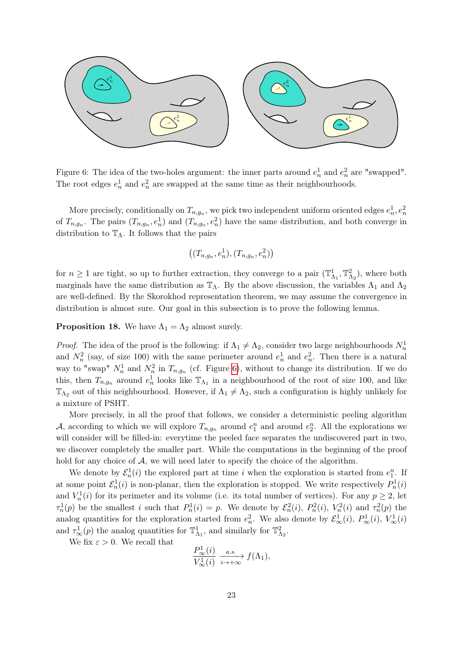

<span id="page-22-0"></span>Figure 6: The idea of the two-holes argument: the inner parts around  $e_n^1$  and  $e_n^2$  are "swapped". The root edges  $e_n^1$  and  $e_n^2$  are swapped at the same time as their neighbourhoods.

More precisely, conditionally on  $T_{n,g_n}$ , we pick two independent uniform oriented edges  $e_n^1, e_n^2$ of  $T_{n,g_n}$ . The pairs  $(T_{n,g_n}, e_n^1)$  and  $(T_{n,g_n}, e_n^2)$  have the same distribution, and both converge in distribution to  $\mathbb{T}_{\Lambda}$ . It follows that the pairs

$$
((T_{n,g_n},e_n^1),(T_{n,g_n},e_n^2))
$$

for  $n \geq 1$  are tight, so up to further extraction, they converge to a pair  $(\mathbb{T}^1_{\Lambda_1}, \mathbb{T}^2_{\Lambda_2})$ , where both marginals have the same distribution as  $\mathbb{T}_{\Lambda}$ . By the above discussion, the variables  $\Lambda_1$  and  $\Lambda_2$ are well-defined. By the Skorokhod representation theorem, we may assume the convergence in distribution is almost sure. Our goal in this subsection is to prove the following lemma.

#### <span id="page-22-1"></span>**Proposition 18.** We have  $\Lambda_1 = \Lambda_2$  almost surely.

*Proof.* The idea of the proof is the following: if  $\Lambda_1 \neq \Lambda_2$ , consider two large neighbourhoods  $N_n^1$ and  $N_n^2$  (say, of size 100) with the same perimeter around  $e_n^1$  and  $e_n^2$ . Then there is a natural way to "swap"  $N_n^1$  and  $N_n^2$  in  $T_{n,g_n}$  (cf. Figure [6\)](#page-22-0), without to change its distribution. If we do this, then  $T_{n,g_n}$  around  $e_n^1$  looks like  $\mathbb{T}_{\Lambda_1}$  in a neighbourhood of the root of size 100, and like  $\mathbb{T}_{\Lambda_2}$  out of this neighbourhood. However, if  $\Lambda_1 \neq \Lambda_2$ , such a configuration is highly unlikely for a mixture of PSHT.

More precisely, in all the proof that follows, we consider a deterministic peeling algorithm A, according to which we will explore  $T_{n,g_n}$  around  $e_1^n$  and around  $e_2^n$ . All the explorations we will consider will be filled-in: everytime the peeled face separates the undiscovered part in two, we discover completely the smaller part. While the computations in the beginning of the proof hold for any choice of  $A$ , we will need later to specify the choice of the algorithm.

We denote by  $\mathcal{E}_n^1(i)$  the explored part at time i when the exploration is started from  $e_1^n$ . If at some point  $\mathcal{E}_n^1(i)$  is non-planar, then the exploration is stopped. We write respectively  $P_n^1(i)$ and  $V_n^1(i)$  for its perimeter and its volume (i.e. its total number of vertices). For any  $p \geq 2$ , let  $\tau_n^1(p)$  be the smallest i such that  $P_n^1(i) = p$ . We denote by  $\mathcal{E}_n^2(i)$ ,  $P_n^2(i)$ ,  $V_n^2(i)$  and  $\tau_n^2(p)$  the analog quantities for the exploration started from  $e_n^2$ . We also denote by  $\mathcal{E}^1_\infty(i)$ ,  $P^1_\infty(i)$ ,  $V^1_\infty(i)$ and  $\tau^1_{\infty}(p)$  the analog quantities for  $\mathbb{T}^1_{\Lambda_1}$ , and similarly for  $\mathbb{T}^2_{\Lambda_2}$ .

We fix  $\varepsilon > 0$ . We recall that

$$
\frac{P_{\infty}^1(i)}{V_{\infty}^1(i)} \xrightarrow[i \to +\infty]{a.s.} f(\Lambda_1),
$$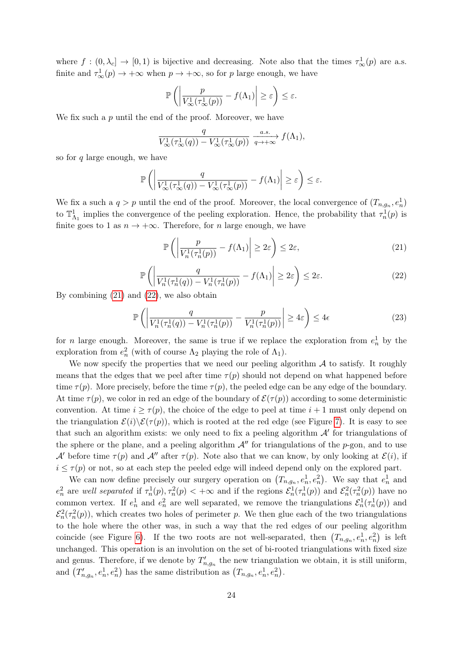where  $f : (0, \lambda_c] \to [0, 1)$  is bijective and decreasing. Note also that the times  $\tau^1_{\infty}(p)$  are a.s. finite and  $\tau^1_{\infty}(p) \to +\infty$  when  $p \to +\infty$ , so for p large enough, we have

$$
\mathbb{P}\left(\left|\frac{p}{V^1_{\infty}(\tau^1_{\infty}(p))} - f(\Lambda_1)\right| \geq \varepsilon\right) \leq \varepsilon.
$$

We fix such a  $p$  until the end of the proof. Moreover, we have

$$
\frac{q}{V_{\infty}^{1}(\tau_{\infty}^{1}(q)) - V_{\infty}^{1}(\tau_{\infty}^{1}(p))} \xrightarrow[q \to +\infty]{a.s.} f(\Lambda_{1}),
$$

so for  $q$  large enough, we have

$$
\mathbb{P}\left(\left|\frac{q}{V^1_{\infty}(\tau^1_{\infty}(q))-V^1_{\infty}(\tau^1_{\infty}(p))}-f(\Lambda_1)\right|\geq \varepsilon\right)\leq \varepsilon.
$$

We fix a such a  $q > p$  until the end of the proof. Moreover, the local convergence of  $(T_{n,g_n}, e_n^1)$ to  $\mathbb{T}^1_{\Lambda_1}$  implies the convergence of the peeling exploration. Hence, the probability that  $\tau^1_n(p)$  is finite goes to 1 as  $n \to +\infty$ . Therefore, for n large enough, we have

<span id="page-23-0"></span>
$$
\mathbb{P}\left(\left|\frac{p}{V_n^1(\tau_n^1(p))} - f(\Lambda_1)\right| \ge 2\varepsilon\right) \le 2\varepsilon,\tag{21}
$$

<span id="page-23-1"></span>
$$
\mathbb{P}\left(\left|\frac{q}{V_n^1(\tau_n^1(q)) - V_n^1(\tau_n^1(p))} - f(\Lambda_1)\right| \ge 2\varepsilon\right) \le 2\varepsilon. \tag{22}
$$

By combining [\(21\)](#page-23-0) and [\(22\)](#page-23-1), we also obtain

<span id="page-23-2"></span>
$$
\mathbb{P}\left(\left|\frac{q}{V_n^1(\tau_n^1(q)) - V_n^1(\tau_n^1(p))} - \frac{p}{V_n^1(\tau_n^1(p))}\right| \ge 4\varepsilon\right) \le 4\varepsilon\tag{23}
$$

for *n* large enough. Moreover, the same is true if we replace the exploration from  $e_n^1$  by the exploration from  $e_n^2$  (with of course  $\Lambda_2$  playing the role of  $\Lambda_1$ ).

We now specify the properties that we need our peeling algorithm  $A$  to satisfy. It roughly means that the edges that we peel after time  $\tau(p)$  should not depend on what happened before time  $\tau(p)$ . More precisely, before the time  $\tau(p)$ , the peeled edge can be any edge of the boundary. At time  $\tau(p)$ , we color in red an edge of the boundary of  $\mathcal{E}(\tau(p))$  according to some deterministic convention. At time  $i \geq \tau(p)$ , the choice of the edge to peel at time  $i + 1$  must only depend on the triangulation  $\mathcal{E}(i)\backslash \mathcal{E}(\tau(p))$ , which is rooted at the red edge (see Figure [7\)](#page-24-0). It is easy to see that such an algorithm exists: we only need to fix a peeling algorithm  $\mathcal{A}'$  for triangulations of the sphere or the plane, and a peeling algorithm  $\mathcal{A}$ <sup>n</sup> for triangulations of the p-gon, and to use A' before time  $\tau(p)$  and  $\mathcal{A}''$  after  $\tau(p)$ . Note also that we can know, by only looking at  $\mathcal{E}(i)$ , if  $i \leq \tau(p)$  or not, so at each step the peeled edge will indeed depend only on the explored part.

We can now define precisely our surgery operation on  $(T_{n,g_n}, e_n^1, e_n^2)$ . We say that  $e_n^1$  and  $e_n^2$  are well separated if  $\tau_n^1(p), \tau_n^2(p) < +\infty$  and if the regions  $\mathcal{E}_n^1(\tau_n^1(p))$  and  $\mathcal{E}_n^2(\tau_n^2(p))$  have no common vertex. If  $e_n^1$  and  $e_n^2$  are well separated, we remove the triangulations  $\mathcal{E}_n^1(\tau_n^1(p))$  and  $\mathcal{E}_n^2(\tau_n^2(p))$ , which creates two holes of perimeter p. We then glue each of the two triangulations to the hole where the other was, in such a way that the red edges of our peeling algorithm coincide (see Figure [6\)](#page-22-0). If the two roots are not well-separated, then  $(T_{n,g_n}, e_n^1, e_n^2)$  is left unchanged. This operation is an involution on the set of bi-rooted triangulations with fixed size and genus. Therefore, if we denote by  $T'_{n,g_n}$  the new triangulation we obtain, it is still uniform, and  $(T'_{n,g_n}, e_n^1, e_n^2)$  has the same distribution as  $(T_{n,g_n}, e_n^1, e_n^2)$ .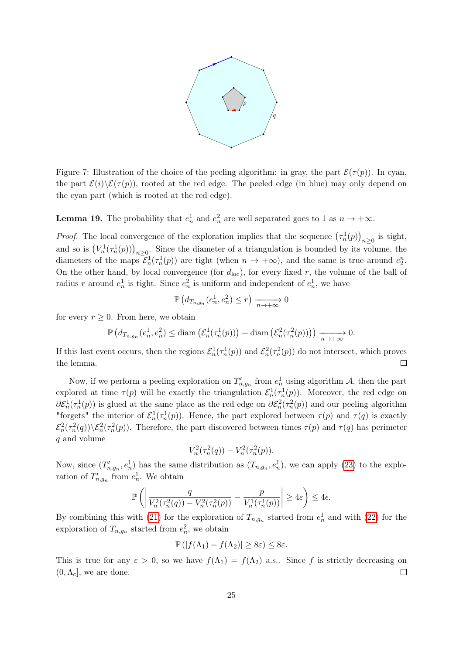

<span id="page-24-0"></span>Figure 7: Illustration of the choice of the peeling algorithm: in gray, the part  $\mathcal{E}(\tau(p))$ . In cyan, the part  $\mathcal{E}(i)\&\mathcal{E}(\tau(p))$ , rooted at the red edge. The peeled edge (in blue) may only depend on the cyan part (which is rooted at the red edge).

**Lemma 19.** The probability that  $e_n^1$  and  $e_n^2$  are well separated goes to 1 as  $n \to +\infty$ .

*Proof.* The local convergence of the exploration implies that the sequence  $(\tau_n^1(p))_{n\geq 0}$  is tight, and so is  $(V_n^1(\tau_n^1(p)))_{n\geq 0}$ . Since the diameter of a triangulation is bounded by its volume, the diameters of the maps  $\mathcal{E}_n^1(\tau_n^1(p))$  are tight (when  $n \to +\infty$ ), and the same is true around  $e_2^n$ . On the other hand, by local convergence (for  $d_{\text{loc}}$ ), for every fixed r, the volume of the ball of radius r around  $e_n^1$  is tight. Since  $e_n^2$  is uniform and independent of  $e_n^1$ , we have

$$
\mathbb{P}\left(d_{T_{n,g_n}}(e_n^1, e_n^2) \le r\right) \xrightarrow[n \to +\infty]{} 0
$$

for every  $r \geq 0$ . From here, we obtain

$$
\mathbb{P}\left(d_{T_{n,g_n}}(e_n^1, e_n^2) \leq \text{diam}\left(\mathcal{E}_n^1(\tau_n^1(p))\right) + \text{diam}\left(\mathcal{E}_n^2(\tau_n^2(p))\right)\right) \xrightarrow[n \to +\infty]{} 0.
$$

If this last event occurs, then the regions  $\mathcal{E}_n^1(\tau_n^1(p))$  and  $\mathcal{E}_n^2(\tau_n^2(p))$  do not intersect, which proves the lemma.  $\Box$ 

Now, if we perform a peeling exploration on  $T'_{n,g_n}$  from  $e_n^1$  using algorithm A, then the part explored at time  $\tau(p)$  will be exactly the triangulation  $\mathcal{E}_n^1(\tau_n^1(p))$ . Moreover, the red edge on  $\partial \mathcal{E}_n^1(\tau_n^1(p))$  is glued at the same place as the red edge on  $\partial \mathcal{E}_n^2(\tau_n^2(p))$  and our peeling algorithm "forgets" the interior of  $\mathcal{E}_n^1(\tau_n^1(p))$ . Hence, the part explored between  $\tau(p)$  and  $\tau(q)$  is exactly  $\mathcal{E}_n^2(\tau_n^2(q))\setminus\mathcal{E}_n^2(\tau_n^2(p))$ . Therefore, the part discovered between times  $\tau(p)$  and  $\tau(q)$  has perimeter q and volume

$$
V_n^2(\tau_n^2(q)) - V_n^2(\tau_n^2(p)).
$$

Now, since  $(T'_{n,g_n}, e_n^1)$  has the same distribution as  $(T_{n,g_n}, e_n^1)$ , we can apply [\(23\)](#page-23-2) to the exploration of  $T'_{n,g_n}$  from  $e_n^1$ . We obtain

$$
\mathbb{P}\left(\left|\frac{q}{V_n^2(\tau_n^2(q))-V_n^2(\tau_n^2(p))}-\frac{p}{V_n^1(\tau_n^1(p))}\right|\geq 4\varepsilon\right)\leq 4\varepsilon.
$$

By combining this with [\(21\)](#page-23-0) for the exploration of  $T_{n,g_n}$  started from  $e_n^1$  and with [\(22\)](#page-23-1) for the exploration of  $T_{n,g_n}$  started from  $e_n^2$ , we obtain

$$
\mathbb{P}(|f(\Lambda_1)-f(\Lambda_2)|\geq 8\varepsilon)\leq 8\varepsilon.
$$

This is true for any  $\varepsilon > 0$ , so we have  $f(\Lambda_1) = f(\Lambda_2)$  a.s.. Since f is strictly decreasing on  $(0, \Lambda_c]$ , we are done.  $\Box$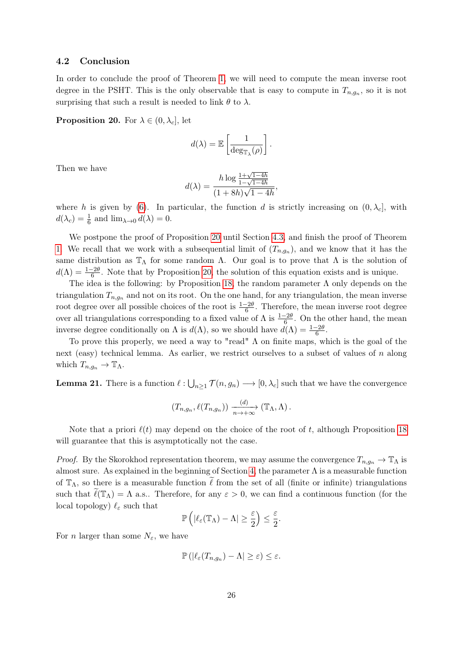#### <span id="page-25-0"></span>4.2 Conclusion

In order to conclude the proof of Theorem [1,](#page-2-0) we will need to compute the mean inverse root degree in the PSHT. This is the only observable that is easy to compute in  $T_{n,g_n}$ , so it is not surprising that such a result is needed to link  $\theta$  to  $\lambda$ .

<span id="page-25-1"></span>**Proposition 20.** For  $\lambda \in (0, \lambda_c]$ , let

$$
d(\lambda) = \mathbb{E}\left[\frac{1}{\deg_{\mathbb{T}_{\lambda}}(\rho)}\right].
$$

Then we have

$$
d(\lambda) = \frac{h \log \frac{1 + \sqrt{1 - 4h}}{1 - \sqrt{1 - 4h}}}{(1 + 8h)\sqrt{1 - 4h}},
$$

where h is given by [\(6\)](#page-7-3). In particular, the function d is strictly increasing on  $(0, \lambda_c]$ , with  $d(\lambda_c) = \frac{1}{6}$  and  $\lim_{\lambda \to 0} d(\lambda) = 0$ .

We postpone the proof of Proposition [20](#page-25-1) until Section [4.3,](#page-26-0) and finish the proof of Theorem [1.](#page-2-0) We recall that we work with a subsequential limit of  $(T_{n,g_n})$ , and we know that it has the same distribution as  $\mathbb{T}_{\Lambda}$  for some random  $\Lambda$ . Our goal is to prove that  $\Lambda$  is the solution of  $d(\Lambda) = \frac{1-2\theta}{6}$ . Note that by Proposition [20,](#page-25-1) the solution of this equation exists and is unique.

The idea is the following: by Proposition [18,](#page-22-1) the random parameter  $\Lambda$  only depends on the triangulation  $T_{n,q_n}$  and not on its root. On the one hand, for any triangulation, the mean inverse root degree over all possible choices of the root is  $\frac{1-2\theta}{6}$ . Therefore, the mean inverse root degree over all triangulations corresponding to a fixed value of  $\Lambda$  is  $\frac{1-2\theta}{6}$ . On the other hand, the mean inverse degree conditionally on  $\Lambda$  is  $d(\Lambda)$ , so we should have  $d(\Lambda) = \frac{1-2\theta}{6}$ .

To prove this properly, we need a way to "read"  $\Lambda$  on finite maps, which is the goal of the next (easy) technical lemma. As earlier, we restrict ourselves to a subset of values of n along which  $T_{n,q_n} \to \mathbb{T}_{\Lambda}$ .

<span id="page-25-2"></span>**Lemma 21.** There is a function  $\ell : \bigcup_{n\geq 1} \mathcal{T}(n, g_n) \longrightarrow [0, \lambda_c]$  such that we have the convergence

$$
(T_{n,g_n}, \ell(T_{n,g_n})) \xrightarrow[n \to +\infty]{(d)} (\mathbb{T}_{\Lambda}, \Lambda).
$$

Note that a priori  $\ell(t)$  may depend on the choice of the root of t, although Proposition [18](#page-22-1) will guarantee that this is asymptotically not the case.

*Proof.* By the Skorokhod representation theorem, we may assume the convergence  $T_{n,q_n} \to \mathbb{T}_{\Lambda}$  is almost sure. As explained in the beginning of Section [4,](#page-21-0) the parameter  $\Lambda$  is a measurable function of  $\mathbb{T}_{\Lambda}$ , so there is a measurable function  $\ell$  from the set of all (finite or infinite) triangulations such that  $\ell(\mathbb{T}_{\Lambda}) = \Lambda$  a.s.. Therefore, for any  $\varepsilon > 0$ , we can find a continuous function (for the local topology)  $\ell_{\varepsilon}$  such that

$$
\mathbb{P}\left(|\ell_{\varepsilon}(\mathbb{T}_{\Lambda})-\Lambda|\geq \frac{\varepsilon}{2}\right)\leq \frac{\varepsilon}{2}.
$$

For *n* larger than some  $N_{\varepsilon}$ , we have

$$
\mathbb{P}\left(|\ell_{\varepsilon}(T_{n,g_n})-\Lambda|\geq \varepsilon\right)\leq \varepsilon.
$$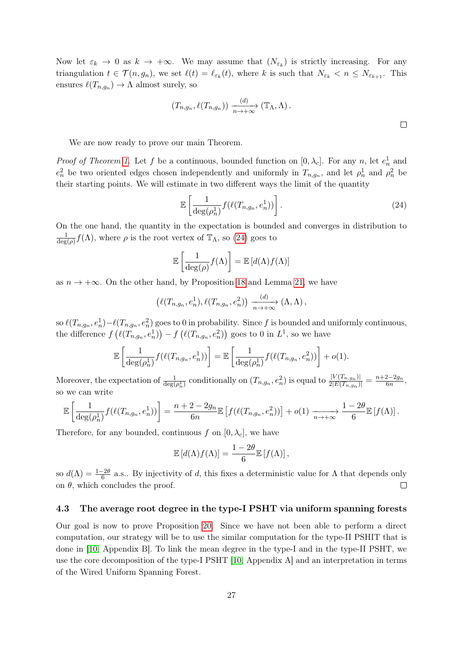Now let  $\varepsilon_k \to 0$  as  $k \to +\infty$ . We may assume that  $(N_{\varepsilon_k})$  is strictly increasing. For any triangulation  $t \in \mathcal{T}(n, g_n)$ , we set  $\ell(t) = \ell_{\varepsilon_k}(t)$ , where k is such that  $N_{\varepsilon_k} < n \le N_{\varepsilon_{k+1}}$ . This ensures  $\ell(T_{n,g_n}) \to \Lambda$  almost surely, so

$$
(T_{n,g_n}, \ell(T_{n,g_n})) \xrightarrow[n \to +\infty]{(d)} (\mathbb{T}_{\Lambda}, \Lambda) .
$$

We are now ready to prove our main Theorem.

*Proof of Theorem [1.](#page-2-0)* Let f be a continuous, bounded function on  $[0, \lambda_c]$ . For any n, let  $e_n^1$  and  $e_n^2$  be two oriented edges chosen independently and uniformly in  $T_{n,g_n}$ , and let  $\rho_n^1$  and  $\rho_n^2$  be their starting points. We will estimate in two different ways the limit of the quantity

<span id="page-26-1"></span>
$$
\mathbb{E}\left[\frac{1}{\deg(\rho_n^1)}f(\ell(T_{n,g_n},e_n^1))\right].\tag{24}
$$

On the one hand, the quantity in the expectation is bounded and converges in distribution to 1  $\frac{1}{\deg(\rho)} f(\Lambda)$ , where  $\rho$  is the root vertex of  $\mathbb{T}_{\Lambda}$ , so [\(24\)](#page-26-1) goes to

$$
\mathbb{E}\left[\frac{1}{\deg(\rho)}f(\Lambda)\right] = \mathbb{E}\left[d(\Lambda)f(\Lambda)\right]
$$

as  $n \to +\infty$ . On the other hand, by Proposition [18](#page-22-1) and Lemma [21,](#page-25-2) we have

$$
(\ell(T_{n,g_n},e_n^1), \ell(T_{n,g_n},e_n^2)) \xrightarrow[n \to +\infty]{(d)} (\Lambda, \Lambda),
$$

so  $\ell(T_{n,g_n},e_n^1)-\ell(T_{n,g_n},e_n^2)$  goes to 0 in probability. Since f is bounded and uniformly continuous, the difference  $f\left(\ell(T_{n,g_n},e_n^1)\right) - f\left(\ell(T_{n,g_n},e_n^2)\right)$  goes to 0 in  $L^1$ , so we have

$$
\mathbb{E}\left[\frac{1}{\deg(\rho_n^1)}f(\ell(T_{n,g_n},e_n^1))\right] = \mathbb{E}\left[\frac{1}{\deg(\rho_n^1)}f(\ell(T_{n,g_n},e_n^2))\right] + o(1).
$$

Moreover, the expectation of  $\frac{1}{\deg(\rho_n^1)}$  conditionally on  $(T_{n,g_n}, e_n^2)$  is equal to  $\frac{|V(T_{n,g_n})|}{2|E(T_{n,g_n})|} = \frac{n+2-2g_n}{6n}$  $\frac{2-2g_n}{6n},$ so we can write

$$
\mathbb{E}\left[\frac{1}{\deg(\rho_n^1)}f(\ell(T_{n,g_n},e_n^1))\right] = \frac{n+2-2g_n}{6n}\mathbb{E}\left[f(\ell(T_{n,g_n},e_n^2))\right] + o(1) \xrightarrow[n \to +\infty]{} \frac{1-2\theta}{6}\mathbb{E}\left[f(\Lambda)\right].
$$

Therefore, for any bounded, continuous f on  $[0, \lambda_c]$ , we have

$$
\mathbb{E}\left[d(\Lambda)f(\Lambda)\right] = \frac{1-2\theta}{6}\mathbb{E}\left[f(\Lambda)\right],
$$

so  $d(\Lambda) = \frac{1-2\theta}{6}$  a.s.. By injectivity of d, this fixes a deterministic value for  $\Lambda$  that depends only on  $\theta$ , which concludes the proof.  $\Box$ 

#### <span id="page-26-0"></span>4.3 The average root degree in the type-I PSHT via uniform spanning forests

Our goal is now to prove Proposition [20.](#page-25-1) Since we have not been able to perform a direct computation, our strategy will be to use the similar computation for the type-II PSHIT that is done in [\[10,](#page-34-15) Appendix B]. To link the mean degree in the type-I and in the type-II PSHT, we use the core decomposition of the type-I PSHT [\[10,](#page-34-15) Appendix A] and an interpretation in terms of the Wired Uniform Spanning Forest.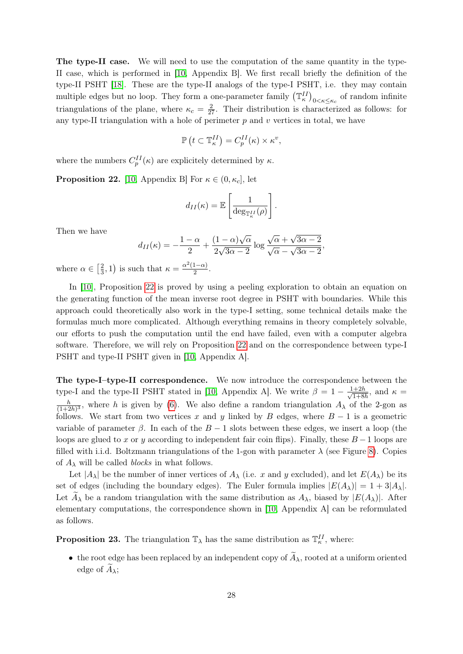The type-II case. We will need to use the computation of the same quantity in the type-II case, which is performed in [\[10,](#page-34-15) Appendix B]. We first recall briefly the definition of the type-II PSHT [\[18\]](#page-34-0). These are the type-II analogs of the type-I PSHT, i.e. they may contain multiple edges but no loop. They form a one-parameter family  $(\mathbb{T}_{\kappa}^{II})_{0<\kappa\leq\kappa_c}$  of random infinite triangulations of the plane, where  $\kappa_c = \frac{2}{27}$ . Their distribution is characterized as follows: for any type-II triangulation with a hole of perimeter  $p$  and  $v$  vertices in total, we have

$$
\mathbb{P}\left(t \subset \mathbb{T}_{\kappa}^{II}\right) = C_p^{II}(\kappa) \times \kappa^v,
$$

where the numbers  $C_p^{II}(\kappa)$  are explicitely determined by  $\kappa$ .

<span id="page-27-0"></span>**Proposition 22.** [\[10,](#page-34-15) Appendix B] For  $\kappa \in (0, \kappa_c]$ , let

$$
d_{II}(\kappa) = \mathbb{E}\left[\frac{1}{\deg_{\mathbb{T}_{\kappa}^{II}}(\rho)}\right].
$$

Then we have

$$
d_{II}(\kappa) = -\frac{1-\alpha}{2} + \frac{(1-\alpha)\sqrt{\alpha}}{2\sqrt{3\alpha-2}}\log\frac{\sqrt{\alpha}+\sqrt{3\alpha-2}}{\sqrt{\alpha}-\sqrt{3\alpha-2}},
$$

where  $\alpha \in \lceil \frac{2}{3} \rceil$  $(\frac{2}{3}, 1)$  is such that  $\kappa = \frac{\alpha^2(1-\alpha)}{2}$  $rac{1-\alpha}{2}$ .

In [\[10\]](#page-34-15), Proposition [22](#page-27-0) is proved by using a peeling exploration to obtain an equation on the generating function of the mean inverse root degree in PSHT with boundaries. While this approach could theoretically also work in the type-I setting, some technical details make the formulas much more complicated. Although everything remains in theory completely solvable, our efforts to push the computation until the end have failed, even with a computer algebra software. Therefore, we will rely on Proposition [22](#page-27-0) and on the correspondence between type-I PSHT and type-II PSHT given in [\[10,](#page-34-15) Appendix A].

The type-I–type-II correspondence. We now introduce the correspondence between the type-I and the type-II PSHT stated in [\[10,](#page-34-15) Appendix A]. We write  $\beta = 1 - \frac{1+2h}{\sqrt{1+8}}$  $\frac{1+2h}{1+8h}$ , and  $\kappa =$ h  $\frac{h}{(1+2h)^3}$ , where h is given by [\(6\)](#page-7-3). We also define a random triangulation  $A_\lambda$  of the 2-gon as follows. We start from two vertices x and y linked by B edges, where  $B - 1$  is a geometric variable of parameter  $\beta$ . In each of the  $B-1$  slots between these edges, we insert a loop (the loops are glued to x or y according to independent fair coin flips). Finally, these  $B-1$  loops are filled with i.i.d. Boltzmann triangulations of the 1-gon with parameter  $\lambda$  (see Figure [8\)](#page-28-0). Copies of  $A_{\lambda}$  will be called *blocks* in what follows.

Let  $|A_\lambda|$  be the number of inner vertices of  $A_\lambda$  (i.e. x and y excluded), and let  $E(A_\lambda)$  be its set of edges (including the boundary edges). The Euler formula implies  $|E(A_\lambda)| = 1 + 3|A_\lambda|$ . Let  $A_{\lambda}$  be a random triangulation with the same distribution as  $A_{\lambda}$ , biased by  $|E(A_{\lambda})|$ . After elementary computations, the correspondence shown in [\[10,](#page-34-15) Appendix A] can be reformulated as follows.

<span id="page-27-1"></span>**Proposition 23.** The triangulation  $\mathbb{T}_{\lambda}$  has the same distribution as  $\mathbb{T}_{\kappa}^{II}$ , where:

• the root edge has been replaced by an independent copy of  $\widetilde{A}_{\lambda}$ , rooted at a uniform oriented edge of  $A_{\lambda}$ ;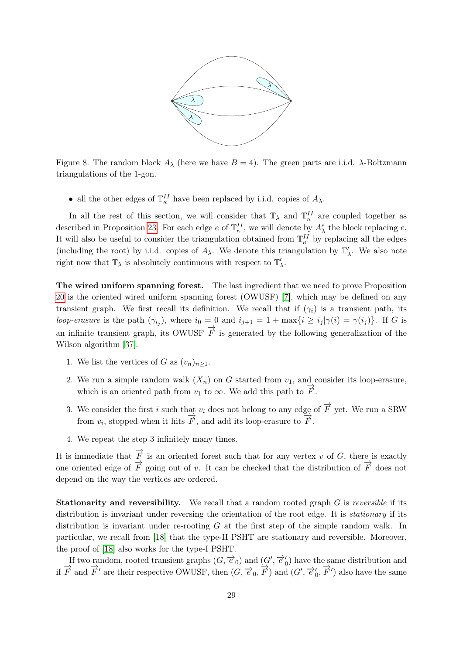

<span id="page-28-0"></span>Figure 8: The random block  $A_{\lambda}$  (here we have  $B = 4$ ). The green parts are i.i.d.  $\lambda$ -Boltzmann triangulations of the 1-gon.

• all the other edges of  $\mathbb{T}_{\kappa}^{II}$  have been replaced by i.i.d. copies of  $A_{\lambda}$ .

In all the rest of this section, we will consider that  $\mathbb{T}_{\lambda}$  and  $\mathbb{T}_{\kappa}^{II}$  are coupled together as described in Proposition [23.](#page-27-1) For each edge  $e$  of  $\mathbb{T}_{\kappa}^{II}$ , we will denote by  $A_{\lambda}^{e}$  the block replacing  $e$ . It will also be useful to consider the triangulation obtained from  $\mathbb{T}_{\kappa}^{II}$  by replacing all the edges (including the root) by i.i.d. copies of  $A_\lambda$ . We denote this triangulation by  $\mathbb{T}'_\lambda$ . We also note right now that  $\mathbb{T}_\lambda$  is absolutely continuous with respect to  $\mathbb{T}'_\lambda.$ 

The wired uniform spanning forest. The last ingredient that we need to prove Proposition [20](#page-25-1) is the oriented wired uniform spanning forest (OWUSF) [\[7\]](#page-34-16), which may be defined on any transient graph. We first recall its definition. We recall that if  $(\gamma_i)$  is a transient path, its loop-erasure is the path  $(\gamma_{i_j})$ , where  $i_0 = 0$  and  $i_{j+1} = 1 + \max\{i \ge i_j | \gamma(i) = \gamma(i_j)\}\$ . If G is an infinite transient graph, its OWUSF  $\vec{F}$  is generated by the following generalization of the Wilson algorithm [\[37\]](#page-35-15).

- 1. We list the vertices of G as  $(v_n)_{n\geq 1}$ .
- 2. We run a simple random walk  $(X_n)$  on G started from  $v_1$ , and consider its loop-erasure, which is an oriented path from  $v_1$  to  $\infty$ . We add this path to  $\overrightarrow{F}$ .
- 3. We consider the first i such that  $v_i$  does not belong to any edge of  $\overrightarrow{F}$  yet. We run a SRW from  $v_i$ , stopped when it hits  $\overrightarrow{F}$ , and add its loop-erasure to  $\overrightarrow{F}$ .
- 4. We repeat the step 3 infinitely many times.

It is immediate that  $\overrightarrow{F}$  is an oriented forest such that for any vertex v of G, there is exactly one oriented edge of  $\overrightarrow{F}$  going out of v. It can be checked that the distribution of  $\overrightarrow{F}$  does not depend on the way the vertices are ordered.

**Stationarity and reversibility.** We recall that a random rooted graph  $G$  is *reversible* if its distribution is invariant under reversing the orientation of the root edge. It is *stationary* if its distribution is invariant under re-rooting G at the first step of the simple random walk. In particular, we recall from [\[18\]](#page-34-0) that the type-II PSHT are stationary and reversible. Moreover, the proof of [\[18\]](#page-34-0) also works for the type-I PSHT.

If two random, rooted transient graphs  $(G, \vec{e}_0)$  and  $(G', \vec{e}'_0)$  have the same distribution and if  $\overrightarrow{F}$  and  $\overrightarrow{F}'$  are their respective OWUSF, then  $(G, \overrightarrow{e}_0, \overrightarrow{F})$  and  $(G', \overrightarrow{e}'_0, \overrightarrow{F}')$  also have the same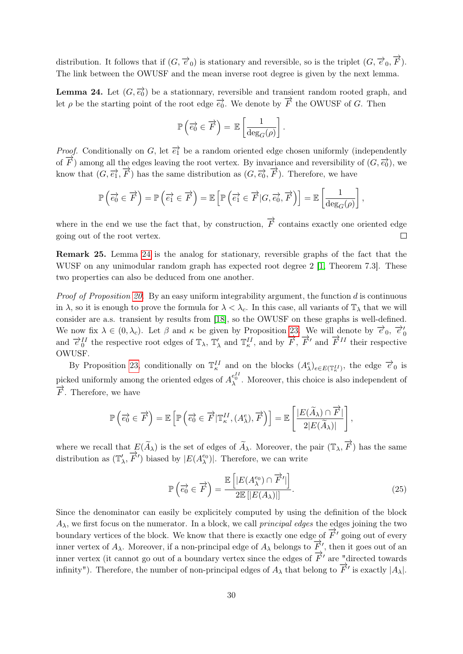distribution. It follows that if  $(G, \overrightarrow{e}_0)$  is stationary and reversible, so is the triplet  $(G, \overrightarrow{e}_0, \overrightarrow{F})$ . The link between the OWUSF and the mean inverse root degree is given by the next lemma.

<span id="page-29-0"></span>**Lemma 24.** Let  $(G, \overrightarrow{e_0})$  be a stationnary, reversible and transient random rooted graph, and let  $\rho$  be the starting point of the root edge  $\overrightarrow{e_0}$ . We denote by  $\overrightarrow{F}$  the OWUSF of G. Then

$$
\mathbb{P}\left(\overrightarrow{e_0} \in \overrightarrow{F}\right) = \mathbb{E}\left[\frac{1}{\deg_G(\rho)}\right].
$$

*Proof.* Conditionally on G, let  $\overrightarrow{e_1}$  be a random oriented edge chosen uniformly (independently of  $\overrightarrow{F}$ ) among all the edges leaving the root vertex. By invariance and reversibility of  $(G, \overrightarrow{e_0})$ , we know that  $(G, \overrightarrow{e_1}, \overrightarrow{F})$  has the same distribution as  $(G, \overrightarrow{e_0}, \overrightarrow{F})$ . Therefore, we have

$$
\mathbb{P}\left(\overrightarrow{e_0} \in \overrightarrow{F}\right) = \mathbb{P}\left(\overrightarrow{e_1} \in \overrightarrow{F}\right) = \mathbb{E}\left[\mathbb{P}\left(\overrightarrow{e_1} \in \overrightarrow{F}|G,\overrightarrow{e_0},\overrightarrow{F}\right)\right] = \mathbb{E}\left[\frac{1}{\deg_G(\rho)}\right],
$$

where in the end we use the fact that, by construction,  $\overrightarrow{F}$  contains exactly one oriented edge going out of the root vertex.  $\Box$ 

Remark 25. Lemma [24](#page-29-0) is the analog for stationary, reversible graphs of the fact that the WUSF on any unimodular random graph has expected root degree 2 [\[1,](#page-33-2) Theorem 7.3]. These two properties can also be deduced from one another.

*Proof of Proposition [20.](#page-25-1)* By an easy uniform integrability argument, the function  $d$  is continuous in  $\lambda$ , so it is enough to prove the formula for  $\lambda < \lambda_c$ . In this case, all variants of  $\mathbb{T}_{\lambda}$  that we will consider are a.s. transient by results from [\[18\]](#page-34-0), so the OWUSF on these graphs is well-defined. We now fix  $\lambda \in (0, \lambda_c)$ . Let  $\beta$  and  $\kappa$  be given by Proposition [23.](#page-27-1) We will denote by  $\vec{\epsilon}_0$ ,  $\vec{\epsilon}'_0$  and  $\vec{\epsilon}'_0$  and  $\vec{\epsilon}'_0$  and  $\vec{\epsilon}'_0$  and  $\vec{\epsilon}'_0$  and  $\vec{\epsilon}'_0$  and  $\vec{\epsilon}'_0$  and  $\vec{\epsilon}'_0$  and  $\vec{\epsilon}'_0$ OWUSF.

By Proposition [23,](#page-27-1) conditionally on  $\mathbb{T}_{\kappa}^{II}$  and on the blocks  $(A_{\lambda}^e)_{e\in E(\mathbb{T}_{\kappa}^{II})}$ , the edge  $\vec{e}_0$  is picked uniformly among the oriented edges of  $A_{\lambda}^{e_{0}^{II}}$ . Moreover, this choice is also independent of  $\overrightarrow{F}$ . Therefore, we have

$$
\mathbb{P}\left(\overrightarrow{e_0} \in \overrightarrow{F}\right) = \mathbb{E}\left[\mathbb{P}\left(\overrightarrow{e_0} \in \overrightarrow{F} | \mathbb{T}_{\kappa}^{II}, (A_{\lambda}^e), \overrightarrow{F}\right)\right] = \mathbb{E}\left[\frac{|E(\widetilde{A}_{\lambda}) \cap \overrightarrow{F}|}{2|E(\widetilde{A}_{\lambda})|}\right],
$$

where we recall that  $E(\widetilde{A}_{\lambda})$  is the set of edges of  $\widetilde{A}_{\lambda}$ . Moreover, the pair  $(\mathbb{T}_{\lambda}, \overrightarrow{F})$  has the same distribution as  $(\mathbb{T}'_{\lambda}, \overrightarrow{F}')$  biased by  $|E(A_{\lambda}^{e_0})|$ . Therefore, we can write

<span id="page-29-1"></span>
$$
\mathbb{P}\left(\overrightarrow{e_0} \in \overrightarrow{F}\right) = \frac{\mathbb{E}\left[|E(A_\lambda^{e_0}) \cap \overrightarrow{F}'|\right]}{2\mathbb{E}\left[|E(A_\lambda)|\right]}.
$$
\n(25)

Since the denominator can easily be explicitely computed by using the definition of the block  $A_{\lambda}$ , we first focus on the numerator. In a block, we call *principal edges* the edges joining the two boundary vertices of the block. We know that there is exactly one edge of  $\overrightarrow{F}'$  going out of every inner vertex of  $A_\lambda$ . Moreover, if a non-principal edge of  $A_\lambda$  belongs to  $\overline{F}'$ , then it goes out of an inner vertex (it cannot go out of a boundary vertex since the edges of  $\overrightarrow{F}'$  are "directed towards") infinity"). Therefore, the number of non-principal edges of  $A_{\lambda}$  that belong to  $\overrightarrow{F}'$  is exactly  $|A_{\lambda}|$ .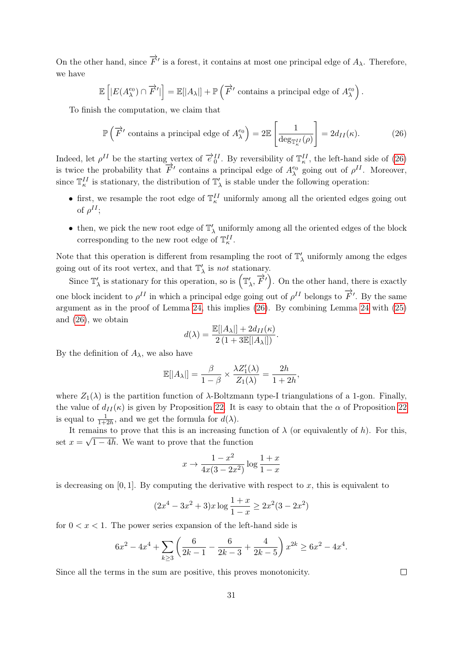On the other hand, since  $\overrightarrow{F}'$  is a forest, it contains at most one principal edge of  $A_{\lambda}$ . Therefore, we have

$$
\mathbb{E}\left[|E(A_{\lambda}^{e_0}) \cap \overrightarrow{F}'|\right] = \mathbb{E}[|A_{\lambda}|] + \mathbb{P}\left(\overrightarrow{F}' \text{ contains a principal edge of } A_{\lambda}^{e_0}\right).
$$

To finish the computation, we claim that

<span id="page-30-0"></span>
$$
\mathbb{P}\left(\overrightarrow{F}' \text{ contains a principal edge of } A_{\lambda}^{e_0}\right) = 2\mathbb{E}\left[\frac{1}{\deg_{\mathbb{T}_{\kappa}^{II}}(\rho)}\right] = 2d_{II}(\kappa). \tag{26}
$$

Indeed, let  $\rho^{II}$  be the starting vertex of  $\vec{e}_0^{II}$ . By reversibility of  $\mathbb{T}_\kappa^{II}$ , the left-hand side of [\(26\)](#page-30-0) is twice the probability that  $\overrightarrow{F}'$  contains a principal edge of  $A_{\lambda}^{e_0}$  going out of  $\rho^{II}$ . Moreover, since  $\mathbb{T}_{\kappa}^{II}$  is stationary, the distribution of  $\mathbb{T}'_{\lambda}$  is stable under the following operation:

- first, we resample the root edge of  $\mathbb{T}_{\kappa}^{II}$  uniformly among all the oriented edges going out of  $\rho^{II}$ ;
- $\bullet\,$  then, we pick the new root edge of  $\mathbb{T}'_\lambda$  uniformly among all the oriented edges of the block corresponding to the new root edge of  $\mathbb{T}_{\kappa}^{II}$ .

Note that this operation is different from resampling the root of  $\mathbb{T}'_{\lambda}$  uniformly among the edges going out of its root vertex, and that  $\mathbb{T}'_{\lambda}$  is *not* stationary.

Since  $\mathbb{T}'_{\lambda}$  is stationary for this operation, so is  $(\mathbb{T}'_{\lambda}, \overrightarrow{F}')$ . On the other hand, there is exactly one block incident to  $\rho^{II}$  in which a principal edge going out of  $\rho^{II}$  belongs to  $\overrightarrow{F}'$ . By the same argument as in the proof of Lemma [24,](#page-29-0) this implies [\(26\)](#page-30-0). By combining Lemma [24](#page-29-0) with [\(25\)](#page-29-1) and [\(26\)](#page-30-0), we obtain

$$
d(\lambda) = \frac{\mathbb{E}[|A_{\lambda}|] + 2d_{II}(\kappa)}{2(1 + 3\mathbb{E}[|A_{\lambda}|])}.
$$

By the definition of  $A_{\lambda}$ , we also have

$$
\mathbb{E}[|A_{\lambda}|] = \frac{\beta}{1-\beta} \times \frac{\lambda Z_1'(\lambda)}{Z_1(\lambda)} = \frac{2h}{1+2h},
$$

where  $Z_1(\lambda)$  is the partition function of  $\lambda$ -Boltzmann type-I triangulations of a 1-gon. Finally, the value of  $d_{II}(\kappa)$  is given by Proposition [22.](#page-27-0) It is easy to obtain that the  $\alpha$  of Proposition [22](#page-27-0) is equal to  $\frac{1}{1+2h}$ , and we get the formula for  $d(\lambda)$ .

It remains to prove that this is an increasing function of  $\lambda$  (or equivalently of h). For this, set  $x = \sqrt{1 - 4h}$ . We want to prove that the function

$$
x \to \frac{1 - x^2}{4x(3 - 2x^2)} \log \frac{1 + x}{1 - x}
$$

is decreasing on  $[0, 1]$ . By computing the derivative with respect to x, this is equivalent to

$$
(2x^4 - 3x^2 + 3)x \log \frac{1+x}{1-x} \ge 2x^2(3 - 2x^2)
$$

for  $0 < x < 1$ . The power series expansion of the left-hand side is

$$
6x^2 - 4x^4 + \sum_{k \ge 3} \left( \frac{6}{2k - 1} - \frac{6}{2k - 3} + \frac{4}{2k - 5} \right) x^{2k} \ge 6x^2 - 4x^4.
$$

Since all the terms in the sum are positive, this proves monotonicity.

 $\Box$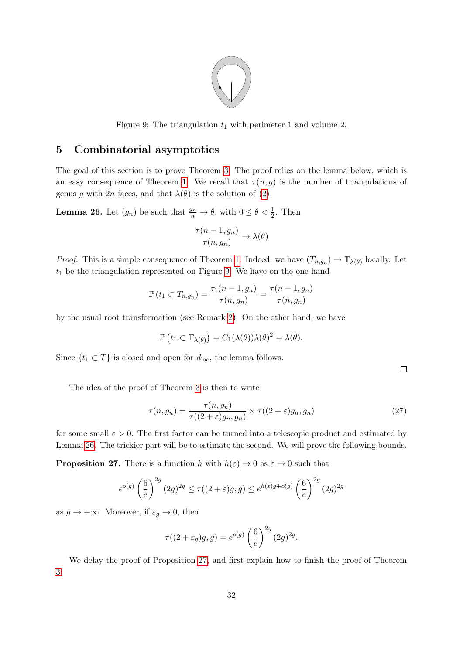

<span id="page-31-1"></span>Figure 9: The triangulation  $t_1$  with perimeter 1 and volume 2.

# <span id="page-31-0"></span>5 Combinatorial asymptotics

The goal of this section is to prove Theorem [3.](#page-3-0) The proof relies on the lemma below, which is an easy consequence of Theorem [1.](#page-2-0) We recall that  $\tau(n, g)$  is the number of triangulations of genus g with  $2n$  faces, and that  $\lambda(\theta)$  is the solution of [\(2\)](#page-2-1).

<span id="page-31-2"></span>**Lemma 26.** Let  $(g_n)$  be such that  $\frac{g_n}{n} \to \theta$ , with  $0 \le \theta < \frac{1}{2}$ . Then

$$
\frac{\tau(n-1,g_n)}{\tau(n,g_n)} \to \lambda(\theta)
$$

*Proof.* This is a simple consequence of Theorem [1.](#page-2-0) Indeed, we have  $(T_{n,g_n}) \to \mathbb{T}_{\lambda(\theta)}$  locally. Let  $t_1$  be the triangulation represented on Figure [9.](#page-31-1) We have on the one hand

$$
\mathbb{P}\left(t_1 \subset T_{n,g_n}\right) = \frac{\tau_1(n-1,g_n)}{\tau(n,g_n)} = \frac{\tau(n-1,g_n)}{\tau(n,g_n)}
$$

by the usual root transformation (see Remark [2\)](#page-7-5). On the other hand, we have

$$
\mathbb{P}\left(t_1 \subset \mathbb{T}_{\lambda(\theta)}\right) = C_1(\lambda(\theta))\lambda(\theta)^2 = \lambda(\theta).
$$

Since  $\{t_1 \subset T\}$  is closed and open for  $d_{\text{loc}}$ , the lemma follows.

 $\Box$ 

The idea of the proof of Theorem [3](#page-3-0) is then to write

<span id="page-31-4"></span>
$$
\tau(n,g_n) = \frac{\tau(n,g_n)}{\tau((2+\varepsilon)g_n,g_n)} \times \tau((2+\varepsilon)g_n,g_n)
$$
\n(27)

for some small  $\varepsilon > 0$ . The first factor can be turned into a telescopic product and estimated by Lemma [26.](#page-31-2) The trickier part will be to estimate the second. We will prove the following bounds.

<span id="page-31-3"></span>**Proposition 27.** There is a function h with  $h(\varepsilon) \to 0$  as  $\varepsilon \to 0$  such that

$$
e^{o(g)}\left(\frac{6}{e}\right)^{2g}(2g)^{2g} \le \tau((2+\varepsilon)g,g) \le e^{h(\varepsilon)g+o(g)}\left(\frac{6}{e}\right)^{2g}(2g)^{2g}
$$

as  $g \to +\infty$ . Moreover, if  $\varepsilon_g \to 0$ , then

$$
\tau((2+\varepsilon_g)g,g) = e^{o(g)} \left(\frac{6}{e}\right)^{2g} (2g)^{2g}.
$$

We delay the proof of Proposition [27,](#page-31-3) and first explain how to finish the proof of Theorem [3.](#page-3-0)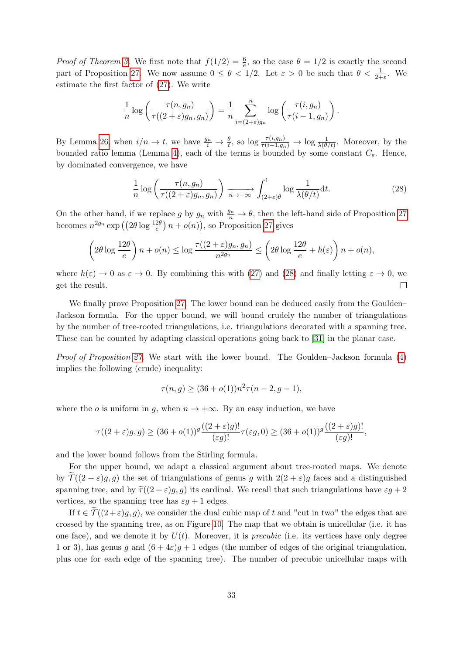*Proof of Theorem [3.](#page-3-0)* We first note that  $f(1/2) = \frac{6}{e}$ , so the case  $\theta = 1/2$  is exactly the second part of Proposition [27.](#page-31-3) We now assume  $0 \le \theta < 1/2$ . Let  $\varepsilon > 0$  be such that  $\theta < \frac{1}{2+\varepsilon}$ . We estimate the first factor of [\(27\)](#page-31-4). We write

$$
\frac{1}{n}\log\left(\frac{\tau(n,g_n)}{\tau((2+\varepsilon)g_n,g_n)}\right)=\frac{1}{n}\sum_{i=(2+\varepsilon)g_n}^n\log\left(\frac{\tau(i,g_n)}{\tau(i-1,g_n)}\right).
$$

By Lemma [26,](#page-31-2) when  $i/n \to t$ , we have  $\frac{g_n}{i} \to \frac{\theta}{t}$ , so  $\log \frac{\tau(i,g_n)}{\tau(i-1,g_n)} \to \log \frac{1}{\lambda(\theta/t)}$ . Moreover, by the bounded ratio lemma (Lemma [4\)](#page-10-0), each of the terms is bounded by some constant  $C_{\varepsilon}$ . Hence, by dominated convergence, we have

<span id="page-32-0"></span>
$$
\frac{1}{n}\log\left(\frac{\tau(n,g_n)}{\tau((2+\varepsilon)g_n,g_n)}\right) \xrightarrow[n \to +\infty]{} \int_{(2+\varepsilon)\theta}^{1} \log\frac{1}{\lambda(\theta/t)}\mathrm{d}t. \tag{28}
$$

On the other hand, if we replace g by  $g_n$  with  $\frac{g_n}{n} \to \theta$ , then the left-hand side of Proposition [27](#page-31-3) becomes  $n^{2g_n} \exp\left( \left( 2\theta \log \frac{12\theta}{e} \right) n + o(n) \right)$ , so Proposition [27](#page-31-3) gives

$$
\left(2\theta \log \frac{12\theta}{e}\right) n + o(n) \le \log \frac{\tau((2+\varepsilon)g_n, g_n)}{n^{2g_n}} \le \left(2\theta \log \frac{12\theta}{e} + h(\varepsilon)\right) n + o(n),
$$

where  $h(\varepsilon) \to 0$  as  $\varepsilon \to 0$ . By combining this with [\(27\)](#page-31-4) and [\(28\)](#page-32-0) and finally letting  $\varepsilon \to 0$ , we get the result.  $\Box$ 

We finally prove Proposition [27.](#page-31-3) The lower bound can be deduced easily from the Goulden– Jackson formula. For the upper bound, we will bound crudely the number of triangulations by the number of tree-rooted triangulations, i.e. triangulations decorated with a spanning tree. These can be counted by adapting classical operations going back to [\[31\]](#page-35-16) in the planar case.

*Proof of Proposition [27.](#page-31-3)* We start with the lower bound. The Goulden–Jackson formula [\(4\)](#page-6-3) implies the following (crude) inequality:

$$
\tau(n,g) \ge (36 + o(1))n^2 \tau(n-2, g-1),
$$

where the o is uniform in g, when  $n \to +\infty$ . By an easy induction, we have

$$
\tau((2+\varepsilon)g,g)\geq (36+o(1))^g\frac{((2+\varepsilon)g)!}{(\varepsilon g)!}\tau(\varepsilon g,0)\geq (36+o(1))^g\frac{((2+\varepsilon)g)!}{(\varepsilon g)!},
$$

and the lower bound follows from the Stirling formula.

For the upper bound, we adapt a classical argument about tree-rooted maps. We denote by  $\mathcal{T}((2+\varepsilon)g,g)$  the set of triangulations of genus g with  $2(2+\varepsilon)g$  faces and a distinguished spanning tree, and by  $\tilde{\tau}((2+\varepsilon)q, q)$  its cardinal. We recall that such triangulations have  $\varepsilon q + 2$ vertices, so the spanning tree has  $\varepsilon q + 1$  edges.

If  $t \in \mathcal{T}((2+\varepsilon)g, g)$ , we consider the dual cubic map of t and "cut in two" the edges that are crossed by the spanning tree, as on Figure [10.](#page-33-3) The map that we obtain is unicellular (i.e. it has one face), and we denote it by  $U(t)$ . Moreover, it is *precubic* (i.e. its vertices have only degree 1 or 3), has genus g and  $(6+4\varepsilon)g+1$  edges (the number of edges of the original triangulation, plus one for each edge of the spanning tree). The number of precubic unicellular maps with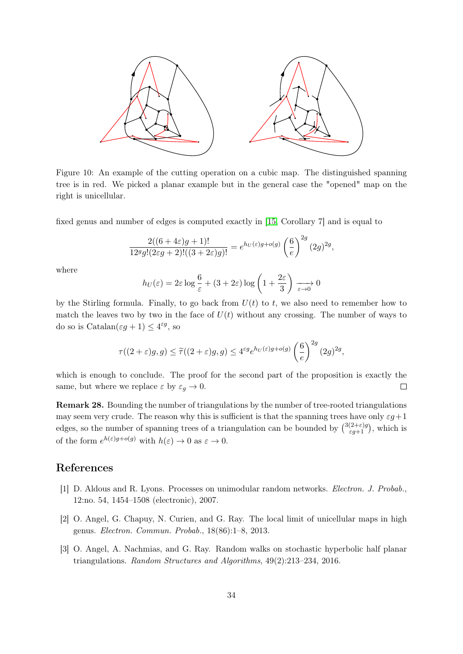

<span id="page-33-3"></span>Figure 10: An example of the cutting operation on a cubic map. The distinguished spanning tree is in red. We picked a planar example but in the general case the "opened" map on the right is unicellular.

fixed genus and number of edges is computed exactly in [\[15,](#page-34-17) Corollary 7] and is equal to

$$
\frac{2((6+4\varepsilon)g+1)!}{12^g g!(2\varepsilon g+2)!((3+2\varepsilon)g)!} = e^{h_U(\varepsilon)g+o(g)}\left(\frac{6}{e}\right)^{2g}(2g)^{2g},
$$

where

$$
h_U(\varepsilon) = 2\varepsilon \log \frac{6}{\varepsilon} + (3 + 2\varepsilon) \log \left(1 + \frac{2\varepsilon}{3}\right) \xrightarrow[\varepsilon \to 0]{} 0
$$

by the Stirling formula. Finally, to go back from  $U(t)$  to t, we also need to remember how to match the leaves two by two in the face of  $U(t)$  without any crossing. The number of ways to do so is  $\text{Catalan}(\varepsilon g + 1) \leq 4^{\varepsilon g}$ , so

$$
\tau((2+\varepsilon)g,g) \le \widetilde{\tau}((2+\varepsilon)g,g) \le 4^{\varepsilon g} e^{h_U(\varepsilon)g + o(g)} \left(\frac{6}{e}\right)^{2g} (2g)^{2g},
$$

which is enough to conclude. The proof for the second part of the proposition is exactly the same, but where we replace  $\varepsilon$  by  $\varepsilon_q \to 0$ .  $\Box$ 

Remark 28. Bounding the number of triangulations by the number of tree-rooted triangulations may seem very crude. The reason why this is sufficient is that the spanning trees have only  $\varepsilon g+1$ edges, so the number of spanning trees of a triangulation can be bounded by  $\binom{3(2+\varepsilon)g}{\varepsilon g+1}$ , which is of the form  $e^{h(\varepsilon)g+o(g)}$  with  $h(\varepsilon) \to 0$  as  $\varepsilon \to 0$ .

### References

- <span id="page-33-2"></span>[1] D. Aldous and R. Lyons. Processes on unimodular random networks. Electron. J. Probab., 12:no. 54, 1454–1508 (electronic), 2007.
- <span id="page-33-0"></span>[2] O. Angel, G. Chapuy, N. Curien, and G. Ray. The local limit of unicellular maps in high genus. Electron. Commun. Probab., 18(86):1–8, 2013.
- <span id="page-33-1"></span>[3] O. Angel, A. Nachmias, and G. Ray. Random walks on stochastic hyperbolic half planar triangulations. Random Structures and Algorithms, 49(2):213–234, 2016.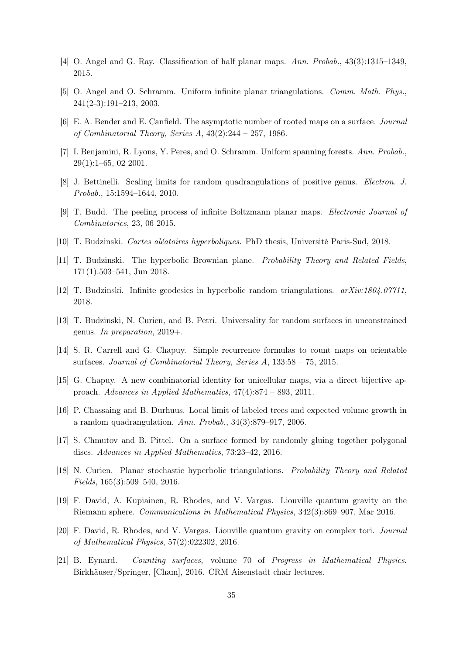- <span id="page-34-12"></span>[4] O. Angel and G. Ray. Classification of half planar maps. Ann. Probab., 43(3):1315–1349, 2015.
- <span id="page-34-4"></span>[5] O. Angel and O. Schramm. Uniform infinite planar triangulations. Comm. Math. Phys., 241(2-3):191–213, 2003.
- <span id="page-34-3"></span>[6] E. A. Bender and E. Canfield. The asymptotic number of rooted maps on a surface. Journal of Combinatorial Theory, Series A,  $43(2):244 - 257$ , 1986.
- <span id="page-34-16"></span>[7] I. Benjamini, R. Lyons, Y. Peres, and O. Schramm. Uniform spanning forests. Ann. Probab., 29(1):1–65, 02 2001.
- <span id="page-34-8"></span>[8] J. Bettinelli. Scaling limits for random quadrangulations of positive genus. Electron. J. Probab., 15:1594–1644, 2010.
- <span id="page-34-6"></span>[9] T. Budd. The peeling process of infinite Boltzmann planar maps. Electronic Journal of Combinatorics, 23, 06 2015.
- <span id="page-34-15"></span>[10] T. Budzinski. Cartes aléatoires hyperboliques. PhD thesis, Université Paris-Sud, 2018.
- <span id="page-34-14"></span>[11] T. Budzinski. The hyperbolic Brownian plane. Probability Theory and Related Fields, 171(1):503–541, Jun 2018.
- <span id="page-34-13"></span>[12] T. Budzinski. Infinite geodesics in hyperbolic random triangulations. arXiv:1804.07711, 2018.
- <span id="page-34-11"></span>[13] T. Budzinski, N. Curien, and B. Petri. Universality for random surfaces in unconstrained genus. In preparation,  $2019+$ .
- <span id="page-34-2"></span>[14] S. R. Carrell and G. Chapuy. Simple recurrence formulas to count maps on orientable surfaces. Journal of Combinatorial Theory, Series A, 133:58 – 75, 2015.
- <span id="page-34-17"></span>[15] G. Chapuy. A new combinatorial identity for unicellular maps, via a direct bijective approach. Advances in Applied Mathematics, 47(4):874 – 893, 2011.
- <span id="page-34-5"></span>[16] P. Chassaing and B. Durhuus. Local limit of labeled trees and expected volume growth in a random quadrangulation. Ann. Probab., 34(3):879–917, 2006.
- <span id="page-34-10"></span>[17] S. Chmutov and B. Pittel. On a surface formed by randomly gluing together polygonal discs. Advances in Applied Mathematics, 73:23–42, 2016.
- <span id="page-34-0"></span>[18] N. Curien. Planar stochastic hyperbolic triangulations. Probability Theory and Related Fields, 165(3):509–540, 2016.
- <span id="page-34-7"></span>[19] F. David, A. Kupiainen, R. Rhodes, and V. Vargas. Liouville quantum gravity on the Riemann sphere. Communications in Mathematical Physics, 342(3):869–907, Mar 2016.
- <span id="page-34-9"></span>[20] F. David, R. Rhodes, and V. Vargas. Liouville quantum gravity on complex tori. Journal of Mathematical Physics, 57(2):022302, 2016.
- <span id="page-34-1"></span>[21] B. Eynard. Counting surfaces, volume 70 of Progress in Mathematical Physics. Birkhäuser/Springer, [Cham], 2016. CRM Aisenstadt chair lectures.